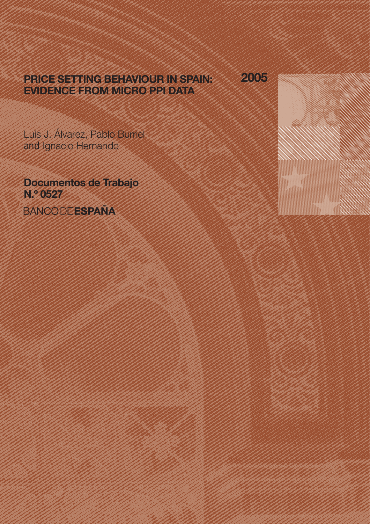# PRICE SETTING BEHAVIOUR IN SPAIN: EVIDENCE FROM MICRO PPI DATA

2005

Luis J. Álvarez, Pablo Burriel and Ignacio Hernando

Documentos de Trabajo N.º 0527 **BANCODEESPAÑA**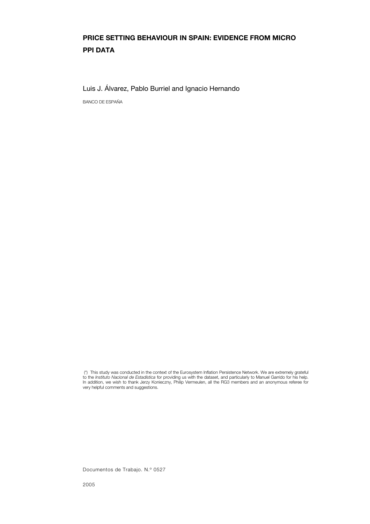# PRICE SETTING BEHAVIOUR IN SPAIN: EVIDENCE FROM MICRO PPI DATA

Luis J. Álvarez, Pablo Burriel and Ignacio Hernando

BANCO DE ESPAÑA

 (\*) This study was conducted in the context of the Eurosystem Inflation Persistence Network. We are extremely grateful to the *Instituto Nacional de Estadística* for providing us with the dataset, and particularly to Manuel Garrido for his help. In addition, we wish to thank Jerzy Konieczny, Philip Vermeulen, all the RG3 members and an anonymous referee for very helpful comments and suggestions.

Documentos de Trabajo. N.º 0527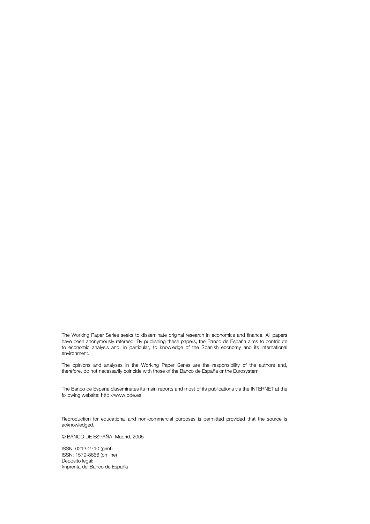The Working Paper Series seeks to disseminate original research in economics and finance. All papers have been anonymously refereed. By publishing these papers, the Banco de España aims to contribute to economic analysis and, in particular, to knowledge of the Spanish economy and its international environment.

The opinions and analyses in the Working Paper Series are the responsibility of the authors and, therefore, do not necessarily coincide with those of the Banco de España or the Eurosystem.

The Banco de España disseminates its main reports and most of its publications via the INTERNET at the following website: http://www.bde.es.

Reproduction for educational and non-commercial purposes is permitted provided that the source is acknowledged.

© BANCO DE ESPAÑA, Madrid, 2005

ISSN: 0213-2710 (print) ISSN: 1579-8666 (on line) Depósito legal: Imprenta del Banco de España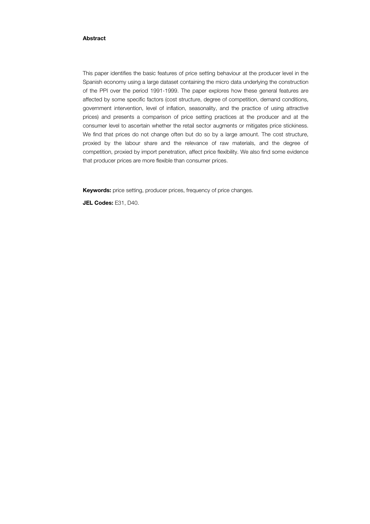### Abstract

This paper identifies the basic features of price setting behaviour at the producer level in the Spanish economy using a large dataset containing the micro data underlying the construction of the PPI over the period 1991-1999. The paper explores how these general features are affected by some specific factors (cost structure, degree of competition, demand conditions, government intervention, level of inflation, seasonality, and the practice of using attractive prices) and presents a comparison of price setting practices at the producer and at the consumer level to ascertain whether the retail sector augments or mitigates price stickiness. We find that prices do not change often but do so by a large amount. The cost structure, proxied by the labour share and the relevance of raw materials, and the degree of competition, proxied by import penetration, affect price flexibility. We also find some evidence that producer prices are more flexible than consumer prices.

Keywords: price setting, producer prices, frequency of price changes.

JEL Codes: E31, D40.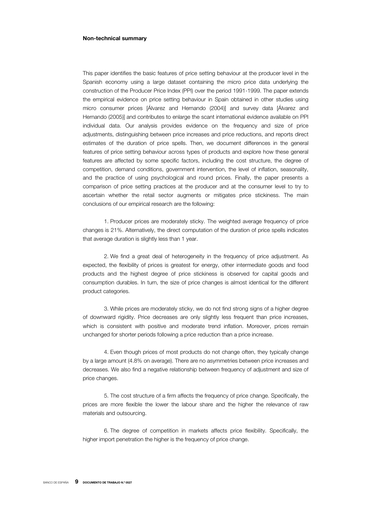#### Non-technical summary

This paper identifies the basic features of price setting behaviour at the producer level in the Spanish economy using a large dataset containing the micro price data underlying the construction of the Producer Price Index (PPI) over the period 1991-1999. The paper extends the empirical evidence on price setting behaviour in Spain obtained in other studies using micro consumer prices [Álvarez and Hernando (2004)] and survey data [Álvarez and Hernando (2005)] and contributes to enlarge the scant international evidence available on PPI individual data. Our analysis provides evidence on the frequency and size of price adjustments, distinguishing between price increases and price reductions, and reports direct estimates of the duration of price spells. Then, we document differences in the general features of price setting behaviour across types of products and explore how these general features are affected by some specific factors, including the cost structure, the degree of competition, demand conditions, government intervention, the level of inflation, seasonality, and the practice of using psychological and round prices. Finally, the paper presents a comparison of price setting practices at the producer and at the consumer level to try to ascertain whether the retail sector augments or mitigates price stickiness. The main conclusions of our empirical research are the following:

1. Producer prices are moderately sticky. The weighted average frequency of price changes is 21%. Alternatively, the direct computation of the duration of price spells indicates that average duration is slightly less than 1 year.

2. We find a great deal of heterogeneity in the frequency of price adjustment. As expected, the flexibility of prices is greatest for energy, other intermediate goods and food products and the highest degree of price stickiness is observed for capital goods and consumption durables. In turn, the size of price changes is almost identical for the different product categories.

3. While prices are moderately sticky, we do not find strong signs of a higher degree of downward rigidity. Price decreases are only slightly less frequent than price increases, which is consistent with positive and moderate trend inflation. Moreover, prices remain unchanged for shorter periods following a price reduction than a price increase.

4. Even though prices of most products do not change often, they typically change by a large amount (4.8% on average). There are no asymmetries between price increases and decreases. We also find a negative relationship between frequency of adjustment and size of price changes.

5. The cost structure of a firm affects the frequency of price change. Specifically, the prices are more flexible the lower the labour share and the higher the relevance of raw materials and outsourcing.

6. The degree of competition in markets affects price flexibility. Specifically, the higher import penetration the higher is the frequency of price change.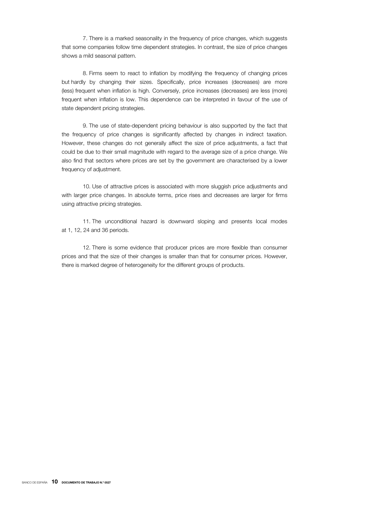7. There is a marked seasonality in the frequency of price changes, which suggests that some companies follow time dependent strategies. In contrast, the size of price changes shows a mild seasonal pattern.

8. Firms seem to react to inflation by modifying the frequency of changing prices but hardly by changing their sizes. Specifically, price increases (decreases) are more (less) frequent when inflation is high. Conversely, price increases (decreases) are less (more) frequent when inflation is low. This dependence can be interpreted in favour of the use of state dependent pricing strategies.

9. The use of state-dependent pricing behaviour is also supported by the fact that the frequency of price changes is significantly affected by changes in indirect taxation. However, these changes do not generally affect the size of price adjustments, a fact that could be due to their small magnitude with regard to the average size of a price change. We also find that sectors where prices are set by the government are characterised by a lower frequency of adjustment.

10. Use of attractive prices is associated with more sluggish price adjustments and with larger price changes. In absolute terms, price rises and decreases are larger for firms using attractive pricing strategies.

11. The unconditional hazard is downward sloping and presents local modes at 1, 12, 24 and 36 periods.

12. There is some evidence that producer prices are more flexible than consumer prices and that the size of their changes is smaller than that for consumer prices. However, there is marked degree of heterogeneity for the different groups of products.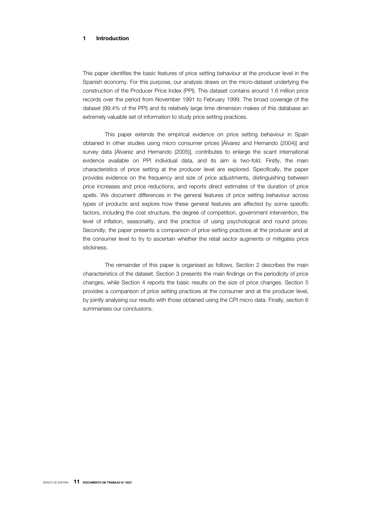### 1 Introduction

This paper identifies the basic features of price setting behaviour at the producer level in the Spanish economy. For this purpose, our analysis draws on the micro-dataset underlying the construction of the Producer Price Index (PPI). This dataset contains around 1.6 million price records over the period from November 1991 to February 1999. The broad coverage of the dataset (99.4% of the PPI) and its relatively large time dimension makes of this database an extremely valuable set of information to study price setting practices.

This paper extends the empirical evidence on price setting behaviour in Spain obtained in other studies using micro consumer prices [Álvarez and Hernando (2004)] and survey data [Álvarez and Hernando (2005)], contributes to enlarge the scant international evidence available on PPI individual data, and its aim is two-fold. Firstly, the main characteristics of price setting at the producer level are explored. Specifically, the paper provides evidence on the frequency and size of price adjustments, distinguishing between price increases and price reductions, and reports direct estimates of the duration of price spells. We document differences in the general features of price setting behaviour across types of products and explore how these general features are affected by some specific factors, including the cost structure, the degree of competition, government intervention, the level of inflation, seasonality, and the practice of using psychological and round prices. Secondly, the paper presents a comparison of price setting practices at the producer and at the consumer level to try to ascertain whether the retail sector augments or mitigates price stickiness.

The remainder of this paper is organised as follows. Section 2 describes the main characteristics of the dataset. Section 3 presents the main findings on the periodicity of price changes, while Section 4 reports the basic results on the size of price changes. Section 5 provides a comparison of price setting practices at the consumer and at the producer level, by jointly analysing our results with those obtained using the CPI micro data. Finally, section 6 summarises our conclusions.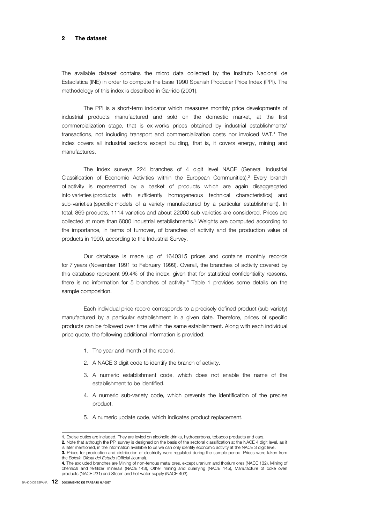#### 2 The dataset

The available dataset contains the micro data collected by the Instituto Nacional de Estadística (INE) in order to compute the base 1990 Spanish Producer Price Index (PPI). The methodology of this index is described in Garrido (2001).

The PPI is a short-term indicator which measures monthly price developments of industrial products manufactured and sold on the domestic market, at the first commercialization stage, that is ex-works prices obtained by industrial establishments' transactions, not including transport and commercialization costs nor invoiced VAT.1 The index covers all industrial sectors except building, that is, it covers energy, mining and manufactures.

The index surveys 224 branches of 4 digit level NACE (General Industrial Classification of Economic Activities within the European Communities).<sup>2</sup> Every branch of activity is represented by a basket of products which are again disaggregated into varieties (products with sufficiently homogeneous technical characteristics) and sub-varieties (specific models of a variety manufactured by a particular establishment). In total, 869 products, 1114 varieties and about 22000 sub-varieties are considered. Prices are collected at more than 6000 industrial establishments.3 Weights are computed according to the importance, in terms of turnover, of branches of activity and the production value of products in 1990, according to the Industrial Survey.

Our database is made up of 1640315 prices and contains monthly records for 7 years (November 1991 to February 1999). Overall, the branches of activity covered by this database represent 99.4% of the index, given that for statistical confidentiality reasons, there is no information for 5 branches of activity.<sup>4</sup> Table 1 provides some details on the sample composition.

Each individual price record corresponds to a precisely defined product (sub-variety) manufactured by a particular establishment in a given date. Therefore, prices of specific products can be followed over time within the same establishment. Along with each individual price quote, the following additional information is provided:

- 1. The year and month of the record.
- 2. A NACE 3 digit code to identify the branch of activity.
- 3. A numeric establishment code, which does not enable the name of the establishment to be identified.
- 4. A numeric sub-variety code, which prevents the identification of the precise product.
- 5. A numeric update code, which indicates product replacement.

I

<sup>1.</sup> Excise duties are included. They are levied on alcoholic drinks, hydrocarbons, tobacco products and cars.

<sup>2.</sup> Note that although the PPI survey is designed on the basis of the sectoral classification at the NACE 4 digit level, as it is later mentioned, in the information available to us we can only identify economic activity at the NACE 3 digit level.

<sup>3.</sup> Prices for production and distribution of electricity were regulated during the sample period. Prices were taken from the *Boletín Oficial del Estado* (Official Journal).

<sup>4.</sup> The excluded branches are Mining of non-ferrous metal ores, except uranium and thorium ores (NACE 132), Mining of chemical and fertilizer minerals (NACE 143), Other mining and quarrying (NACE 145), Manufacture of coke oven products (NACE 231) and Steam and hot water supply (NACE 403).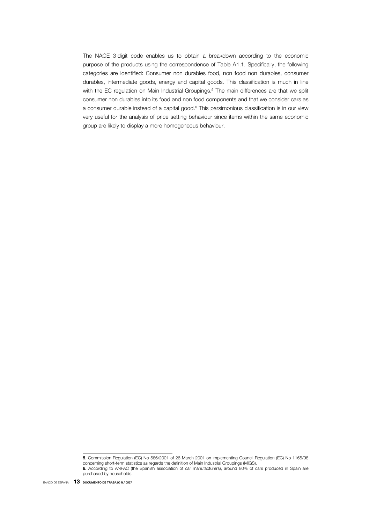The NACE 3 digit code enables us to obtain a breakdown according to the economic purpose of the products using the correspondence of Table A1.1. Specifically, the following categories are identified: Consumer non durables food, non food non durables, consumer durables, intermediate goods, energy and capital goods. This classification is much in line with the EC regulation on Main Industrial Groupings.<sup>5</sup> The main differences are that we split consumer non durables into its food and non food components and that we consider cars as a consumer durable instead of a capital good.6 This parsimonious classification is in our view very useful for the analysis of price setting behaviour since items within the same economic group are likely to display a more homogeneous behaviour.

I

<sup>5.</sup> Commission Regulation (EC) No 586/2001 of 26 March 2001 on implementing Council Regulation (EC) No 1165/98 concerning short-term statistics as regards the definition of Main Industrial Groupings (MIGS).

<sup>6.</sup> According to ANFAC (the Spanish association of car manufacturers), around 80% of cars produced in Spain are purchased by households.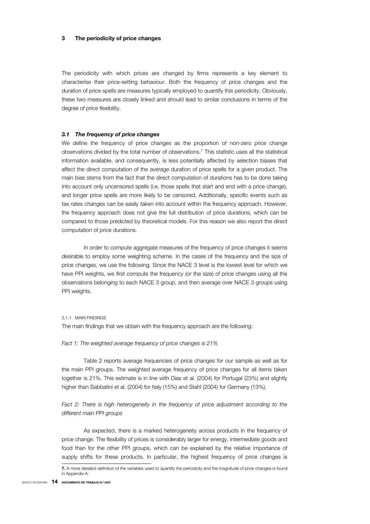#### 3 The periodicity of price changes

The periodicity with which prices are changed by firms represents a key element to characterise their price-setting behaviour. Both the frequency of price changes and the duration of price spells are measures typically employed to quantify this periodicity. Obviously, these two measures are closely linked and should lead to similar conclusions in terms of the degree of price flexibility.

### *3.1 The frequency of price changes*

We define the frequency of price changes as the proportion of non-zero price change observations divided by the total number of observations.7 This statistic uses all the statistical information available, and consequently, is less potentially affected by selection biases that affect the direct computation of the average duration of price spells for a given product. The main bias stems from the fact that the direct computation of durations has to be done taking into account only uncensored spells (i.e. those spells that start and end with a price change), and longer price spells are more likely to be censored. Additionally, specific events such as tax rates changes can be easily taken into account within the frequency approach. However, the frequency approach does not give the full distribution of price durations, which can be compared to those predicted by theoretical models. For this reason we also report the direct computation of price durations.

In order to compute aggregate measures of the frequency of price changes it seems desirable to employ some weighting scheme. In the cases of the frequency and the size of price changes, we use the following. Since the NACE 3 level is the lowest level for which we have PPI weights, we first compute the frequency (or the size) of price changes using all the observations belonging to each NACE 3 group, and then average over NACE 3 groups using PPI weights.

#### 3.1.1 MAIN FINDINGS

The main findings that we obtain with the frequency approach are the following:

#### *Fact 1: The weighted average frequency of price changes is 21%*

Table 2 reports average frequencies of price changes for our sample as well as for the main PPI groups. The weighted average frequency of price changes for all items taken together is 21%. This estimate is in line with Dias et al. (2004) for Portugal (23%) and slightly higher than Sabbatini et al. (2004) for Italy (15%) and Stahl (2004) for Germany (13%).

### Fact 2: There is high heterogeneity in the frequency of price adjustment according to the *different main PPI groups*

As expected, there is a marked heterogeneity across products in the frequency of price change. The flexibility of prices is considerably larger for energy, intermediate goods and food than for the other PPI groups, which can be explained by the relative importance of supply shifts for these products. In particular, the highest frequency of price changes is

<sup>7.</sup> A more detailed definition of the variables used to quantify the periodicity and the magnitude of price changes is found in Appendix A.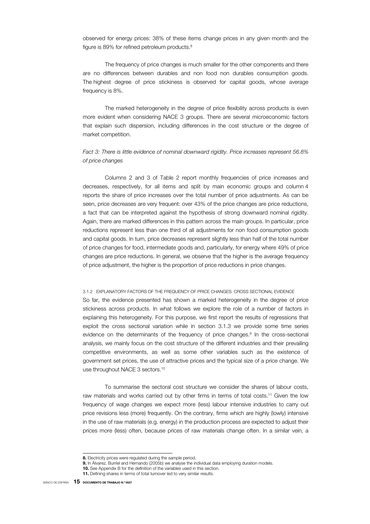observed for energy prices: 38% of these items change prices in any given month and the figure is 89% for refined petroleum products.<sup>8</sup>

The frequency of price changes is much smaller for the other components and there are no differences between durables and non food non durables consumption goods. The highest degree of price stickiness is observed for capital goods, whose average frequency is 8%.

The marked heterogeneity in the degree of price flexibility across products is even more evident when considering NACE 3 groups. There are several microeconomic factors that explain such dispersion, including differences in the cost structure or the degree of market competition.

### *Fact 3: There is little evidence of nominal downward rigidity. Price increases represent 56.8% of price changes*

Columns 2 and 3 of Table 2 report monthly frequencies of price increases and decreases, respectively, for all items and split by main economic groups and column 4 reports the share of price increases over the total number of price adjustments. As can be seen, price decreases are very frequent: over 43% of the price changes are price reductions, a fact that can be interpreted against the hypothesis of strong downward nominal rigidity. Again, there are marked differences in this pattern across the main groups. In particular, price reductions represent less than one third of all adjustments for non food consumption goods and capital goods. In turn, price decreases represent slightly less than half of the total number of price changes for food, intermediate goods and, particularly, for energy where 49% of price changes are price reductions. In general, we observe that the higher is the average frequency of price adjustment, the higher is the proportion of price reductions in price changes.

#### 3.1.2 EXPLANATORY FACTORS OF THE FREQUENCY OF PRICE CHANGES: CROSS SECTIONAL EVIDENCE

So far, the evidence presented has shown a marked heterogeneity in the degree of price stickiness across products. In what follows we explore the role of a number of factors in explaining this heterogeneity. For this purpose, we first report the results of regressions that exploit the cross sectional variation while in section 3.1.3 we provide some time series evidence on the determinants of the frequency of price changes.<sup>9</sup> In the cross-sectional analysis, we mainly focus on the cost structure of the different industries and their prevailing competitive environments, as well as some other variables such as the existence of government set prices, the use of attractive prices and the typical size of a price change. We use throughout NACE 3 sectors.<sup>10</sup>

To summarise the sectoral cost structure we consider the shares of labour costs, raw materials and works carried out by other firms in terms of total costs.<sup>11</sup> Given the low frequency of wage changes we expect more (less) labour intensive industries to carry out price revisions less (more) frequently. On the contrary, firms which are highly (lowly) intensive in the use of raw materials (e.g. energy) in the production process are expected to adjust their prices more (less) often, because prices of raw materials change often. In a similar vein, a

<sup>8.</sup> Electricity prices were regulated during the sample period.

<sup>9.</sup> In Álvarez, Burriel and Hernando (2005b) we analyse the individual data employing duration models.

<sup>10.</sup> See Appendix B for the definition of the variables used in this section.

<sup>11.</sup> Defining shares in terms of total turnover led to very similar results.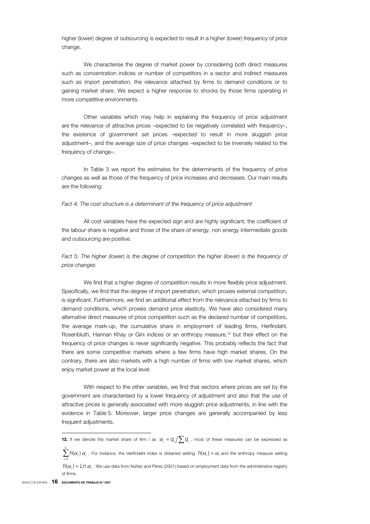higher (lower) degree of outsourcing is expected to result in a higher (lower) frequency of price change.

We characterise the degree of market power by considering both direct measures such as concentration indices or number of competitors in a sector and indirect measures such as import penetration, the relevance attached by firms to demand conditions or to gaining market share. We expect a higher response to shocks by those firms operating in more competitive environments.

Other variables which may help in explaining the frequency of price adjustment are the relevance of attractive prices –expected to be negatively correlated with frequency–, the existence of government set prices –expected to result in more sluggish price adjustment–, and the average size of price changes –expected to be inversely related to the frequency of change–.

In Table 3 we report the estimates for the determinants of the frequency of price changes as well as those of the frequency of price increases and decreases. Our main results are the following:

#### Fact 4: The cost structure is a determinant of the frequency of price adjustment

All cost variables have the expected sign and are highly significant; the coefficient of the labour share is negative and those of the share of energy, non energy intermediate goods and outsourcing are positive.

*Fact 5: The higher (lower) is the degree of competition the higher (lower) is the frequency of price changes* 

We find that a higher degree of competition results in more flexible price adjustment. Specifically, we find that the degree of import penetration, which proxies external competition, is significant. Furthermore, we find an additional effect from the relevance attached by firms to demand conditions, which proxies demand price elasticity. We have also considered many alternative direct measures of price competition such as the declared number of competitors, the average mark-up, the cumulative share in employment of leading firms, Herfindahl, Rosenbluth, Hannan Khay or Gini indices or an enthropy measure,12 but their effect on the frequency of price changes is never significantly negative. This probably reflects the fact that there are some competitive markets where a few firms have high market shares. On the contrary, there are also markets with a high number of firms with low market shares, which enjoy market power at the local level.

With respect to the other variables, we find that sectors where prices are set by the government are characterised by a lower frequency of adjustment and also that the use of attractive prices is generally associated with more sluggish price adjustments, in line with the evidence in Table 5. Moreover, larger price changes are generally accompanied by less frequent adjustments.

**<sup>12.</sup>** If we denote the market share of firm i as  $\alpha_i = q_i / \sum_i q_i$ , most of these measures can be expressed as

 $\sum_{i=1}^n h(\alpha_i)$  $\sum_{i=1}^L h(\alpha_i) \alpha_i$  . For instance, the Herfindahl index is obtained setting  $h(\alpha_i) = \alpha_i$  and the enthropy measure setting *i*

 $h(\alpha_i) = Ln \alpha_i$ . We use data from Núñez and Pérez (2001) based on employment data from the administrative registry of firms.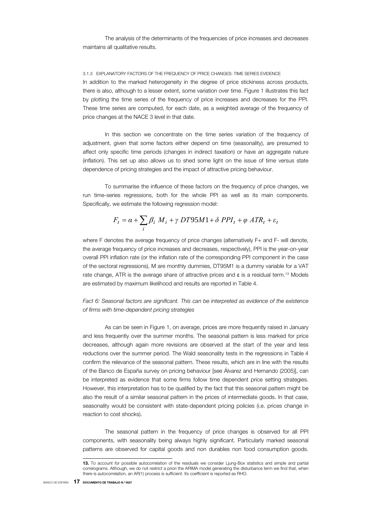The analysis of the determinants of the frequencies of price increases and decreases maintains all qualitative results.

#### 3.1.3 EXPLANATORY FACTORS OF THE FREQUENCY OF PRICE CHANGES: TIME SERIES EVIDENCE

In addition to the marked heterogeneity in the degree of price stickiness across products, there is also, although to a lesser extent, some variation over time. Figure 1 illustrates this fact by plotting the time series of the frequency of price increases and decreases for the PPI. These time series are computed, for each date, as a weighted average of the frequency of price changes at the NACE 3 level in that date.

In this section we concentrate on the time series variation of the frequency of adjustment, given that some factors either depend on time (seasonality), are presumed to affect only specific time periods (changes in indirect taxation) or have an aggregate nature (inflation). This set up also allows us to shed some light on the issue of time versus state dependence of pricing strategies and the impact of attractive pricing behaviour.

To summarise the influence of these factors on the frequency of price changes, we run time-series regressions, both for the whole PPI as well as its main components. Specifically, we estimate the following regression model:

$$
F_t = \alpha + \sum_i \beta_i M_i + \gamma \ DTS5M1 + \delta \ PPI_t + \varphi \ ATR_t + \varepsilon_t
$$

where F denotes the average frequency of price changes (alternatively F+ and F- will denote, the average frequency of price increases and decreases, respectively), PPI is the year-on-year overall PPI inflation rate (or the inflation rate of the corresponding PPI component in the case of the sectoral regressions), M are monthly dummies, DT95M1 is a dummy variable for a VAT rate change, ATR is the average share of attractive prices and  $\epsilon$  is a residual term.<sup>13</sup> Models are estimated by maximum likelihood and results are reported in Table 4.

*Fact 6: Seasonal factors are significant. This can be interpreted as evidence of the existence of firms with time-dependent pricing strategies*

As can be seen in Figure 1, on average, prices are more frequently raised in January and less frequently over the summer months. The seasonal pattern is less marked for price decreases, although again more revisions are observed at the start of the year and less reductions over the summer period. The Wald seasonality tests in the regressions in Table 4 confirm the relevance of the seasonal pattern. These results, which are in line with the results of the Banco de España survey on pricing behaviour [see Álvarez and Hernando (2005)], can be interpreted as evidence that some firms follow time dependent price setting strategies. However, this interpretation has to be qualified by the fact that this seasonal pattern might be also the result of a similar seasonal pattern in the prices of intermediate goods. In that case, seasonality would be consistent with state-dependent pricing policies (i.e. prices change in reaction to cost shocks).

The seasonal pattern in the frequency of price changes is observed for all PPI components, with seasonality being always highly significant. Particularly marked seasonal patterns are observed for capital goods and non durables non food consumption goods.

I

<sup>13.</sup> To account for possible autocorrelation of the residuals we consider Ljung-Box statistics and simple and partial correlograms. Although, we do not restrict a priori the ARIMA model generating the disturbance term we find that, when there is autocorrelation, an AR(1) process is sufficient. Its coefficient is reported as RHO.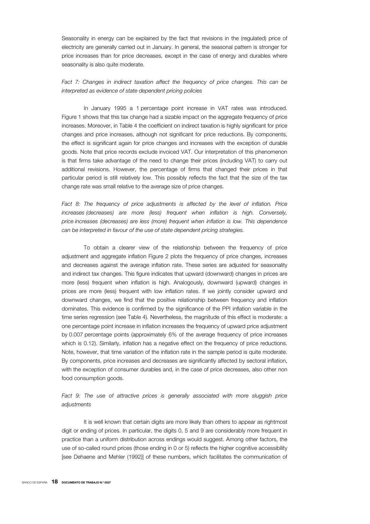Seasonality in energy can be explained by the fact that revisions in the (regulated) price of electricity are generally carried out in January. In general, the seasonal pattern is stronger for price increases than for price decreases, except in the case of energy and durables where seasonality is also quite moderate.

Fact 7: Changes in indirect taxation affect the frequency of price changes. This can be *interpreted as evidence of state dependent pricing policies*

In January 1995 a 1 percentage point increase in VAT rates was introduced. Figure 1 shows that this tax change had a sizable impact on the aggregate frequency of price increases. Moreover, in Table 4 the coefficient on indirect taxation is highly significant for price changes and price increases, although not significant for price reductions. By components, the effect is significant again for price changes and increases with the exception of durable goods. Note that price records exclude invoiced VAT. Our interpretation of this phenomenon is that firms take advantage of the need to change their prices (including VAT) to carry out additional revisions. However, the percentage of firms that changed their prices in that particular period is still relatively low. This possibly reflects the fact that the size of the tax change rate was small relative to the average size of price changes.

Fact 8: The frequency of price adjustments is affected by the level of inflation. Price *increases (decreases) are more (less) frequent when inflation is high. Conversely, price increases (decreases) are less (more) frequent when inflation is low. This dependence can be interpreted in favour of the use of state dependent pricing strategies.* 

To obtain a clearer view of the relationship between the frequency of price adjustment and aggregate inflation Figure 2 plots the frequency of price changes, increases and decreases against the average inflation rate. These series are adjusted for seasonality and indirect tax changes. This figure indicates that upward (downward) changes in prices are more (less) frequent when inflation is high. Analogously, downward (upward) changes in prices are more (less) frequent with low inflation rates. If we jointly consider upward and downward changes, we find that the positive relationship between frequency and inflation dominates. This evidence is confirmed by the significance of the PPI inflation variable in the time series regression (see Table 4). Nevertheless, the magnitude of this effect is moderate: a one percentage point increase in inflation increases the frequency of upward price adjustment by 0.007 percentage points (approximately 6% of the average frequency of price increases which is 0.12). Similarly, inflation has a negative effect on the frequency of price reductions. Note, however, that time variation of the inflation rate in the sample period is quite moderate. By components, price increases and decreases are significantly affected by sectoral inflation, with the exception of consumer durables and, in the case of price decreases, also other non food consumption goods.

### Fact 9: The use of attractive prices is generally associated with more sluggish price *adjustments*

It is well known that certain digits are more likely than others to appear as rightmost digit or ending of prices. In particular, the digits 0, 5 and 9 are considerably more frequent in practice than a uniform distribution across endings would suggest. Among other factors, the use of so-called round prices (those ending in 0 or 5) reflects the higher cognitive accessibility [see Dehaene and Mehler (1992)] of these numbers, which facilitates the communication of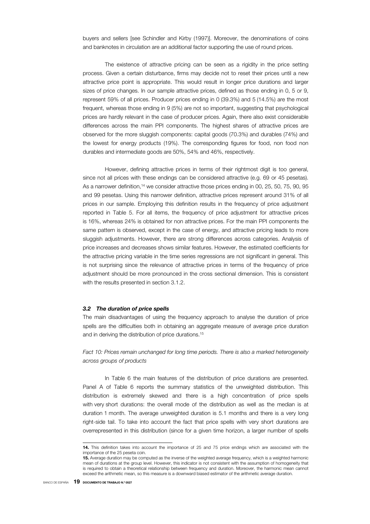buyers and sellers [see Schindler and Kirby (1997)]. Moreover, the denominations of coins and banknotes in circulation are an additional factor supporting the use of round prices.

The existence of attractive pricing can be seen as a rigidity in the price setting process. Given a certain disturbance, firms may decide not to reset their prices until a new attractive price point is appropriate. This would result in longer price durations and larger sizes of price changes. In our sample attractive prices, defined as those ending in 0, 5 or 9, represent 59% of all prices. Producer prices ending in 0 (39.3%) and 5 (14.5%) are the most frequent, whereas those ending in 9 (5%) are not so important, suggesting that psychological prices are hardly relevant in the case of producer prices. Again, there also exist considerable differences across the main PPI components. The highest shares of attractive prices are observed for the more sluggish components: capital goods (70.3%) and durables (74%) and the lowest for energy products (19%). The corresponding figures for food, non food non durables and intermediate goods are 50%, 54% and 46%, respectively.

However, defining attractive prices in terms of their rightmost digit is too general, since not all prices with these endings can be considered attractive (e.g. 69 or 45 pesetas). As a narrower definition,<sup>14</sup> we consider attractive those prices ending in 00, 25, 50, 75, 90, 95 and 99 pesetas. Using this narrower definition, attractive prices represent around 31% of all prices in our sample. Employing this definition results in the frequency of price adjustment reported in Table 5. For all items, the frequency of price adjustment for attractive prices is 16%, whereas 24% is obtained for non attractive prices. For the main PPI components the same pattern is observed, except in the case of energy, and attractive pricing leads to more sluggish adjustments. However, there are strong differences across categories. Analysis of price increases and decreases shows similar features. However, the estimated coefficients for the attractive pricing variable in the time series regressions are not significant in general. This is not surprising since the relevance of attractive prices in terms of the frequency of price adjustment should be more pronounced in the cross sectional dimension. This is consistent with the results presented in section 3.1.2.

#### *3.2 The duration of price spells*

The main disadvantages of using the frequency approach to analyse the duration of price spells are the difficulties both in obtaining an aggregate measure of average price duration and in deriving the distribution of price durations.15

*Fact 10: Prices remain unchanged for long time periods. There is also a marked heterogeneity across groups of products* 

In Table 6 the main features of the distribution of price durations are presented. Panel A of Table 6 reports the summary statistics of the unweighted distribution. This distribution is extremely skewed and there is a high concentration of price spells with very short durations: the overall mode of the distribution as well as the median is at duration 1 month. The average unweighted duration is 5.1 months and there is a very long right-side tail. To take into account the fact that price spells with very short durations are overrepresented in this distribution (since for a given time horizon, a larger number of spells

I

<sup>14.</sup> This definition takes into account the importance of 25 and 75 price endings which are associated with the importance of the 25 peseta coin.

<sup>15.</sup> Average duration may be computed as the inverse of the weighted average frequency, which is a weighted harmonic mean of durations at the group level. However, this indicator is not consistent with the assumption of homogeneity that is required to obtain a theoretical relationship between frequency and duration. Moreover, the harmonic mean cannot exceed the arithmetic mean, so this measure is a downward biased estimator of the arithmetic average duration.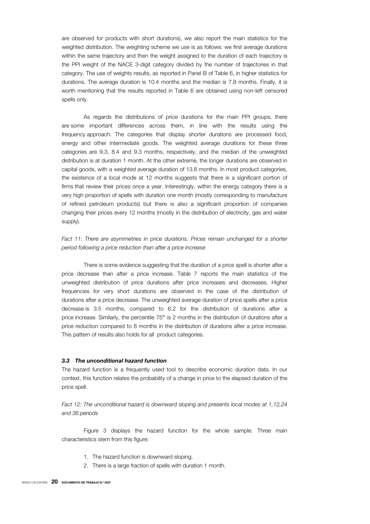are observed for products with short durations), we also report the main statistics for the weighted distribution. The weighting scheme we use is as follows: we first average durations within the same trajectory and then the weight assigned to the duration of each trajectory is the PPI weight of the NACE 3-digit category divided by the number of trajectories in that category. The use of weights results, as reported in Panel B of Table 6, in higher statistics for durations. The average duration is 10.4 months and the median is 7.8 months. Finally, it is worth mentioning that the results reported in Table 6 are obtained using non-left censored spells only.

As regards the distributions of price durations for the main PPI groups, there are some important differences across them, in line with the results using the frequency approach. The categories that display shorter durations are processed food, energy and other intermediate goods. The weighted average durations for these three categories are 9.3, 8.4 and 9.3 months, respectively, and the median of the unweighted distribution is at duration 1 month. At the other extreme, the longer durations are observed in capital goods, with a weighted average duration of 13.8 months. In most product categories, the existence of a local mode at 12 months suggests that there is a significant portion of firms that review their prices once a year. Interestingly, within the energy category there is a very high proportion of spells with duration one month (mostly corresponding to manufacture of refined petroleum products) but there is also a significant proportion of companies changing their prices every 12 months (mostly in the distribution of electricity, gas and water supply).

### Fact 11: There are asymmetries in price durations. Prices remain unchanged for a shorter *period following a price reduction than after a price increase*

There is some evidence suggesting that the duration of a price spell is shorter after a price decrease than after a price increase. Table 7 reports the main statistics of the unweighted distribution of price durations after price increases and decreases. Higher frequencies for very short durations are observed in the case of the distribution of durations after a price decrease. The unweighted average duration of price spells after a price decrease is 3.5 months, compared to 6.2 for the distribution of durations after a price increase. Similarly, the percentile  $75<sup>th</sup>$  is 2 months in the distribution of durations after a price reduction compared to 8 months in the distribution of durations after a price increase. This pattern of results also holds for all product categories.

#### *3.3 The unconditional hazard function*

The hazard function is a frequently used tool to describe economic duration data. In our context, this function relates the probability of a change in price to the elapsed duration of the price spell.

*Fact 12: The unconditional hazard is downward sloping and presents local modes at 1,12,24 and 36 periods* 

Figure 3 displays the hazard function for the whole sample. Three main characteristics stem from this figure:

- 1. The hazard function is downward sloping.
- 2. There is a large fraction of spells with duration 1 month.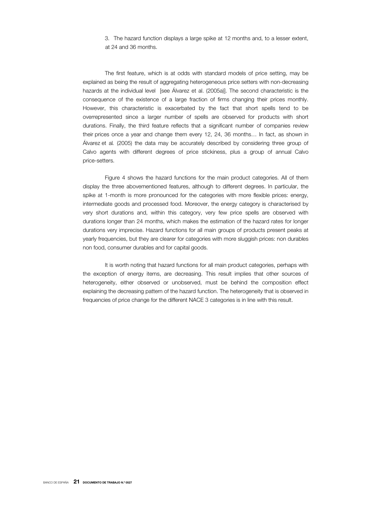3. The hazard function displays a large spike at 12 months and, to a lesser extent, at 24 and 36 months.

The first feature, which is at odds with standard models of price setting, may be explained as being the result of aggregating heterogeneous price setters with non-decreasing hazards at the individual level [see Álvarez et al. (2005a)]. The second characteristic is the consequence of the existence of a large fraction of firms changing their prices monthly. However, this characteristic is exacerbated by the fact that short spells tend to be overrepresented since a larger number of spells are observed for products with short durations. Finally, the third feature reflects that a significant number of companies review their prices once a year and change them every 12, 24, 36 months… In fact, as shown in Álvarez et al*.* (2005) the data may be accurately described by considering three group of Calvo agents with different degrees of price stickiness, plus a group of annual Calvo price-setters.

Figure 4 shows the hazard functions for the main product categories. All of them display the three abovementioned features, although to different degrees. In particular, the spike at 1-month is more pronounced for the categories with more flexible prices: energy, intermediate goods and processed food. Moreover, the energy category is characterised by very short durations and, within this category, very few price spells are observed with durations longer than 24 months, which makes the estimation of the hazard rates for longer durations very imprecise. Hazard functions for all main groups of products present peaks at yearly frequencies, but they are clearer for categories with more sluggish prices: non durables non food, consumer durables and for capital goods.

It is worth noting that hazard functions for all main product categories, perhaps with the exception of energy items, are decreasing. This result implies that other sources of heterogeneity, either observed or unobserved, must be behind the composition effect explaining the decreasing pattern of the hazard function. The heterogeneity that is observed in frequencies of price change for the different NACE 3 categories is in line with this result.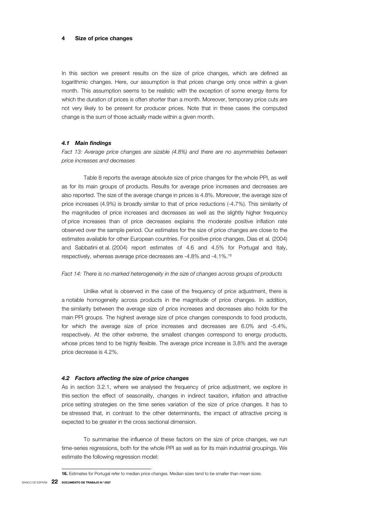#### Size of price changes

In this section we present results on the size of price changes, which are defined as logarithmic changes. Here, our assumption is that prices change only once within a given month. This assumption seems to be realistic with the exception of some energy items for which the duration of prices is often shorter than a month. Moreover, temporary price cuts are not very likely to be present for producer prices. Note that in these cases the computed change is the sum of those actually made within a given month.

### *4.1 Main findings*

*Fact 13: Average price changes are sizable (4.8%) and there are no asymmetries between price increases and decreases* 

Table 8 reports the average absolute size of price changes for the whole PPI, as well as for its main groups of products. Results for average price increases and decreases are also reported. The size of the average change in prices is 4.8%. Moreover, the average size of price increases (4.9%) is broadly similar to that of price reductions (-4.7%). This similarity of the magnitudes of price increases and decreases as well as the slightly higher frequency of price increases than of price decreases explains the moderate positive inflation rate observed over the sample period. Our estimates for the size of price changes are close to the estimates available for other European countries. For positive price changes, Dias et al*.* (2004) and Sabbatini et al. (2004) report estimates of 4.6 and 4.5% for Portugal and Italy, respectively, whereas average price decreases are -4.8% and -4.1%.16

#### Fact 14: There is no marked heterogeneity in the size of changes across groups of products

Unlike what is observed in the case of the frequency of price adjustment, there is a notable homogeneity across products in the magnitude of price changes. In addition, the similarity between the average size of price increases and decreases also holds for the main PPI groups. The highest average size of price changes corresponds to food products, for which the average size of price increases and decreases are 6.0% and -5.4%, respectively. At the other extreme, the smallest changes correspond to energy products, whose prices tend to be highly flexible. The average price increase is 3.8% and the average price decrease is 4.2%.

#### *4.2 Factors affecting the size of price changes*

As in section 3.2.1, where we analysed the frequency of price adjustment, we explore in this section the effect of seasonality, changes in indirect taxation, inflation and attractive price setting strategies on the time series variation of the size of price changes. It has to be stressed that, in contrast to the other determinants, the impact of attractive pricing is expected to be greater in the cross sectional dimension.

To summarise the influence of these factors on the size of price changes, we run time-series regressions, both for the whole PPI as well as for its main industrial groupings. We estimate the following regression model:

I

BANCO DE ESPAÑA  $22$  documento de trabajo n.º 0527 16. Estimates for Portugal refer to median price changes. Median sizes tend to be smaller than mean sizes.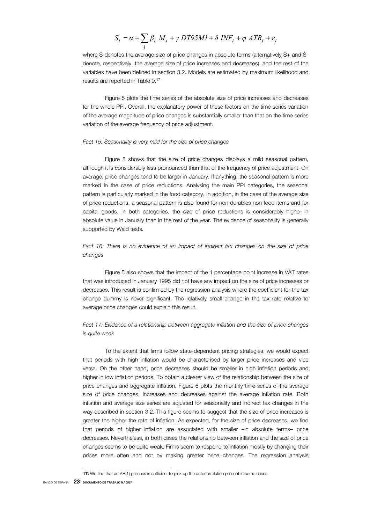$$
S_t = \alpha + \sum_i \beta_i M_i + \gamma \ DTS5MI + \delta \ INF_t + \varphi \ ATR_t + \varepsilon_t
$$

where S denotes the average size of price changes in absolute terms (alternatively S+ and Sdenote, respectively, the average size of price increases and decreases), and the rest of the variables have been defined in section 3.2. Models are estimated by maximum likelihood and results are reported in Table 9.17

Figure 5 plots the time series of the absolute size of price increases and decreases for the whole PPI. Overall, the explanatory power of these factors on the time series variation of the average magnitude of price changes is substantially smaller than that on the time series variation of the average frequency of price adjustment.

#### *Fact 15: Seasonality is very mild for the size of price changes*

Figure 5 shows that the size of price changes displays a mild seasonal pattern, although it is considerably less pronounced than that of the frequency of price adjustment. On average, price changes tend to be larger in January. If anything, the seasonal pattern is more marked in the case of price reductions. Analysing the main PPI categories, the seasonal pattern is particularly marked in the food category. In addition, in the case of the average size of price reductions, a seasonal pattern is also found for non durables non food items and for capital goods. In both categories, the size of price reductions is considerably higher in absolute value in January than in the rest of the year. The evidence of seasonality is generally supported by Wald tests.

### *Fact 16: There is no evidence of an impact of indirect tax changes on the size of price changes*

Figure 5 also shows that the impact of the 1 percentage point increase in VAT rates that was introduced in January 1995 did not have any impact on the size of price increases or decreases. This result is confirmed by the regression analysis where the coefficient for the tax change dummy is never significant. The relatively small change in the tax rate relative to average price changes could explain this result.

### *Fact 17: Evidence of a relationship between aggregate inflation and the size of price changes is quite weak*

To the extent that firms follow state-dependent pricing strategies, we would expect that periods with high inflation would be characterised by larger price increases and vice versa*.* On the other hand, price decreases should be smaller in high inflation periods and higher in low inflation periods. To obtain a clearer view of the relationship between the size of price changes and aggregate inflation, Figure 6 plots the monthly time series of the average size of price changes, increases and decreases against the average inflation rate. Both inflation and average size series are adjusted for seasonality and indirect tax changes in the way described in section 3.2. This figure seems to suggest that the size of price increases is greater the higher the rate of inflation. As expected, for the size of price decreases, we find that periods of higher inflation are associated with smaller –in absolute terms– price decreases. Nevertheless, in both cases the relationship between inflation and the size of price changes seems to be quite weak. Firms seem to respond to inflation mostly by changing their prices more often and not by making greater price changes. The regression analysis

I

**<sup>17.</sup>** We find that an AR(1) process is sufficient to pick up the autocorrelation present in some cases.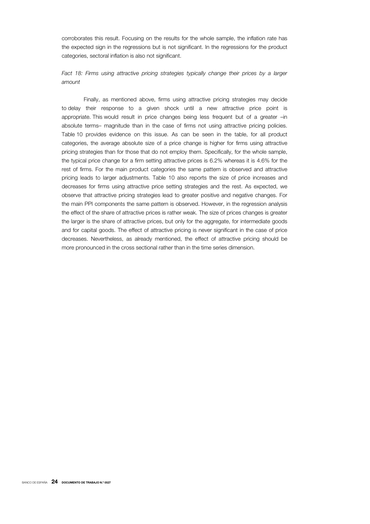corroborates this result. Focusing on the results for the whole sample, the inflation rate has the expected sign in the regressions but is not significant. In the regressions for the product categories, sectoral inflation is also not significant.

### *Fact 18: Firms using attractive pricing strategies typically change their prices by a larger amount*

Finally, as mentioned above, firms using attractive pricing strategies may decide to delay their response to a given shock until a new attractive price point is appropriate. This would result in price changes being less frequent but of a greater –in absolute terms– magnitude than in the case of firms not using attractive pricing policies. Table 10 provides evidence on this issue. As can be seen in the table, for all product categories, the average absolute size of a price change is higher for firms using attractive pricing strategies than for those that do not employ them. Specifically, for the whole sample, the typical price change for a firm setting attractive prices is 6.2% whereas it is 4.6% for the rest of firms. For the main product categories the same pattern is observed and attractive pricing leads to larger adjustments. Table 10 also reports the size of price increases and decreases for firms using attractive price setting strategies and the rest. As expected, we observe that attractive pricing strategies lead to greater positive and negative changes. For the main PPI components the same pattern is observed. However, in the regression analysis the effect of the share of attractive prices is rather weak. The size of prices changes is greater the larger is the share of attractive prices, but only for the aggregate, for intermediate goods and for capital goods. The effect of attractive pricing is never significant in the case of price decreases. Nevertheless, as already mentioned, the effect of attractive pricing should be more pronounced in the cross sectional rather than in the time series dimension.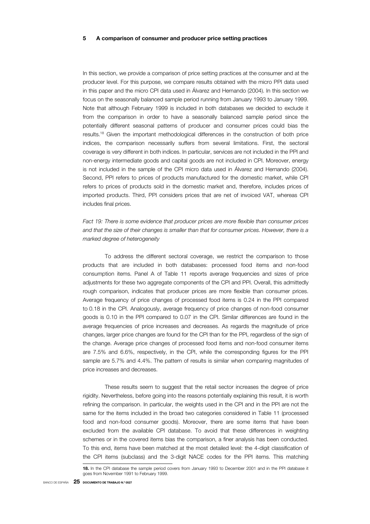#### 5 A comparison of consumer and producer price setting practices

In this section, we provide a comparison of price setting practices at the consumer and at the producer level. For this purpose, we compare results obtained with the micro PPI data used in this paper and the micro CPI data used in Álvarez and Hernando (2004). In this section we focus on the seasonally balanced sample period running from January 1993 to January 1999. Note that although February 1999 is included in both databases we decided to exclude it from the comparison in order to have a seasonally balanced sample period since the potentially different seasonal patterns of producer and consumer prices could bias the results.18 Given the important methodological differences in the construction of both price indices, the comparison necessarily suffers from several limitations. First, the sectoral coverage is very different in both indices. In particular, services are not included in the PPI and non-energy intermediate goods and capital goods are not included in CPI. Moreover, energy is not included in the sample of the CPI micro data used in Álvarez and Hernando (2004). Second, PPI refers to prices of products manufactured for the domestic market, while CPI refers to prices of products sold in the domestic market and, therefore, includes prices of imported products. Third, PPI considers prices that are net of invoiced VAT, whereas CPI includes final prices.

### *Fact 19: There is some evidence that producer prices are more flexible than consumer prices and that the size of their changes is smaller than that for consumer prices. However, there is a marked degree of heterogeneity*

To address the different sectoral coverage, we restrict the comparison to those products that are included in both databases: processed food items and non-food consumption items. Panel A of Table 11 reports average frequencies and sizes of price adjustments for these two aggregate components of the CPI and PPI. Overall, this admittedly rough comparison, indicates that producer prices are more flexible than consumer prices. Average frequency of price changes of processed food items is 0.24 in the PPI compared to 0.18 in the CPI. Analogously, average frequency of price changes of non-food consumer goods is 0.10 in the PPI compared to 0.07 in the CPI. Similar differences are found in the average frequencies of price increases and decreases. As regards the magnitude of price changes, larger price changes are found for the CPI than for the PPI, regardless of the sign of the change. Average price changes of processed food items and non-food consumer items are 7.5% and 6.6%, respectively, in the CPI, while the corresponding figures for the PPI sample are 5.7% and 4.4%. The pattern of results is similar when comparing magnitudes of price increases and decreases.

These results seem to suggest that the retail sector increases the degree of price rigidity. Nevertheless, before going into the reasons potentially explaining this result, it is worth refining the comparison. In particular, the weights used in the CPI and in the PPI are not the same for the items included in the broad two categories considered in Table 11 (processed food and non-food consumer goods). Moreover, there are some items that have been excluded from the available CPI database. To avoid that these differences in weighting schemes or in the covered items bias the comparison, a finer analysis has been conducted. To this end, items have been matched at the most detailed level: the 4-digit classification of the CPI items (subclass) and the 3-digit NACE codes for the PPI items. This matching

<sup>18.</sup> In the CPI database the sample period covers from January 1993 to December 2001 and in the PPI database it goes from November 1991 to February 1999.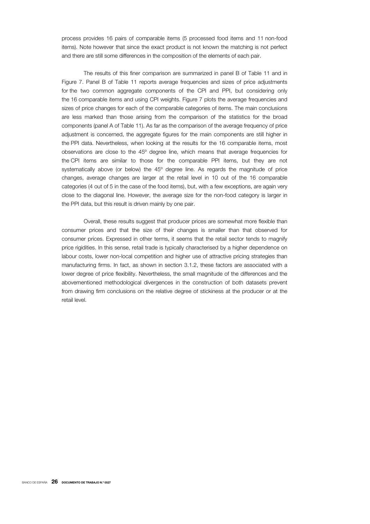process provides 16 pairs of comparable items (5 processed food items and 11 non-food items). Note however that since the exact product is not known the matching is not perfect and there are still some differences in the composition of the elements of each pair.

The results of this finer comparison are summarized in panel B of Table 11 and in Figure 7. Panel B of Table 11 reports average frequencies and sizes of price adjustments for the two common aggregate components of the CPI and PPI, but considering only the 16 comparable items and using CPI weights. Figure 7 plots the average frequencies and sizes of price changes for each of the comparable categories of items. The main conclusions are less marked than those arising from the comparison of the statistics for the broad components (panel A of Table 11). As far as the comparison of the average frequency of price adjustment is concerned, the aggregate figures for the main components are still higher in the PPI data. Nevertheless, when looking at the results for the 16 comparable items, most observations are close to the 45º degree line, which means that average frequencies for the CPI items are similar to those for the comparable PPI items, but they are not systematically above (or below) the 45° degree line. As regards the magnitude of price changes, average changes are larger at the retail level in 10 out of the 16 comparable categories (4 out of 5 in the case of the food items), but, with a few exceptions, are again very close to the diagonal line. However, the average size for the non-food category is larger in the PPI data, but this result is driven mainly by one pair.

Overall, these results suggest that producer prices are somewhat more flexible than consumer prices and that the size of their changes is smaller than that observed for consumer prices. Expressed in other terms, it seems that the retail sector tends to magnify price rigidities. In this sense, retail trade is typically characterised by a higher dependence on labour costs, lower non-local competition and higher use of attractive pricing strategies than manufacturing firms. In fact, as shown in section 3.1.2, these factors are associated with a lower degree of price flexibility. Nevertheless, the small magnitude of the differences and the abovementioned methodological divergences in the construction of both datasets prevent from drawing firm conclusions on the relative degree of stickiness at the producer or at the retail level.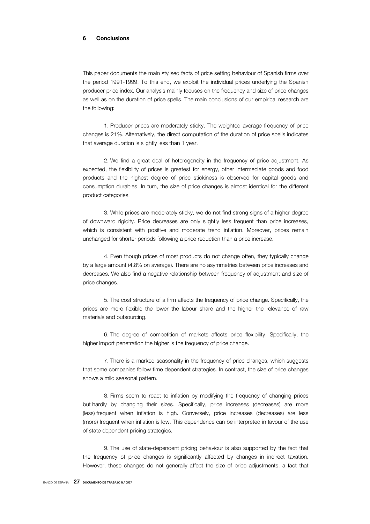#### 6 Conclusions

This paper documents the main stylised facts of price setting behaviour of Spanish firms over the period 1991-1999. To this end, we exploit the individual prices underlying the Spanish producer price index. Our analysis mainly focuses on the frequency and size of price changes as well as on the duration of price spells. The main conclusions of our empirical research are the following:

1. Producer prices are moderately sticky. The weighted average frequency of price changes is 21%. Alternatively, the direct computation of the duration of price spells indicates that average duration is slightly less than 1 year.

2. We find a great deal of heterogeneity in the frequency of price adjustment. As expected, the flexibility of prices is greatest for energy, other intermediate goods and food products and the highest degree of price stickiness is observed for capital goods and consumption durables. In turn, the size of price changes is almost identical for the different product categories.

3. While prices are moderately sticky, we do not find strong signs of a higher degree of downward rigidity. Price decreases are only slightly less frequent than price increases, which is consistent with positive and moderate trend inflation. Moreover, prices remain unchanged for shorter periods following a price reduction than a price increase.

4. Even though prices of most products do not change often, they typically change by a large amount (4.8% on average). There are no asymmetries between price increases and decreases. We also find a negative relationship between frequency of adjustment and size of price changes.

5. The cost structure of a firm affects the frequency of price change. Specifically, the prices are more flexible the lower the labour share and the higher the relevance of raw materials and outsourcing.

6. The degree of competition of markets affects price flexibility. Specifically, the higher import penetration the higher is the frequency of price change.

7. There is a marked seasonality in the frequency of price changes, which suggests that some companies follow time dependent strategies. In contrast, the size of price changes shows a mild seasonal pattern.

8. Firms seem to react to inflation by modifying the frequency of changing prices but hardly by changing their sizes. Specifically, price increases (decreases) are more (less) frequent when inflation is high. Conversely, price increases (decreases) are less (more) frequent when inflation is low. This dependence can be interpreted in favour of the use of state dependent pricing strategies.

9. The use of state-dependent pricing behaviour is also supported by the fact that the frequency of price changes is significantly affected by changes in indirect taxation. However, these changes do not generally affect the size of price adjustments, a fact that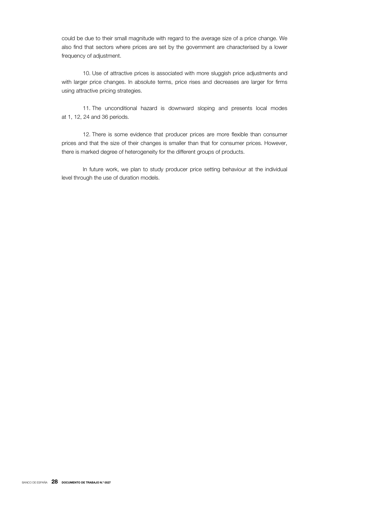could be due to their small magnitude with regard to the average size of a price change. We also find that sectors where prices are set by the government are characterised by a lower frequency of adjustment.

10. Use of attractive prices is associated with more sluggish price adjustments and with larger price changes. In absolute terms, price rises and decreases are larger for firms using attractive pricing strategies.

11. The unconditional hazard is downward sloping and presents local modes at 1, 12, 24 and 36 periods.

12. There is some evidence that producer prices are more flexible than consumer prices and that the size of their changes is smaller than that for consumer prices. However, there is marked degree of heterogeneity for the different groups of products.

In future work, we plan to study producer price setting behaviour at the individual level through the use of duration models.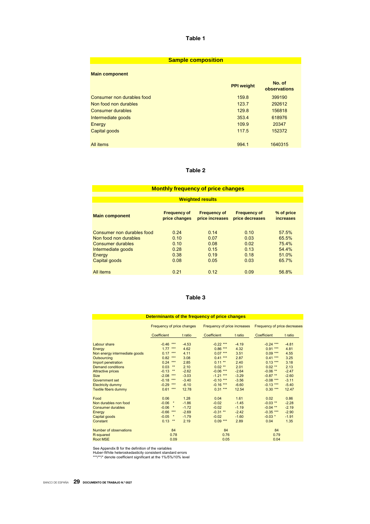| <b>Sample composition</b>                                                                                                 |                                                    |                                                         |  |  |  |  |  |  |  |
|---------------------------------------------------------------------------------------------------------------------------|----------------------------------------------------|---------------------------------------------------------|--|--|--|--|--|--|--|
| <b>Main component</b>                                                                                                     | <b>PPI weight</b>                                  | No. of<br>observations                                  |  |  |  |  |  |  |  |
| Consumer non durables food<br>Non food non durables<br>Consumer durables<br>Intermediate goods<br>Energy<br>Capital goods | 159.8<br>123.7<br>129.8<br>353.4<br>109.9<br>117.5 | 399190<br>292612<br>156818<br>618976<br>20347<br>152372 |  |  |  |  |  |  |  |
| All items                                                                                                                 | 994.1                                              | 1640315                                                 |  |  |  |  |  |  |  |

### Table 2

| <b>Monthly frequency of price changes</b>                                                                                                                                    |                                              |                                              |                                              |                                                    |  |  |  |  |  |  |  |  |  |
|------------------------------------------------------------------------------------------------------------------------------------------------------------------------------|----------------------------------------------|----------------------------------------------|----------------------------------------------|----------------------------------------------------|--|--|--|--|--|--|--|--|--|
|                                                                                                                                                                              |                                              |                                              |                                              |                                                    |  |  |  |  |  |  |  |  |  |
| <b>Weighted results</b>                                                                                                                                                      |                                              |                                              |                                              |                                                    |  |  |  |  |  |  |  |  |  |
| <b>Frequency of</b><br><b>Frequency of</b><br>% of price<br><b>Frequency of</b><br><b>Main component</b><br>price changes<br>price increases<br>price decreases<br>increases |                                              |                                              |                                              |                                                    |  |  |  |  |  |  |  |  |  |
| Consumer non durables food<br>Non food non durables<br>Consumer durables<br>Intermediate goods<br>Energy<br>Capital goods                                                    | 0.24<br>0.10<br>0.10<br>0.28<br>0.38<br>0.08 | 0.14<br>0.07<br>0.08<br>0.15<br>0.19<br>0.05 | 0.10<br>0.03<br>0.02<br>0.13<br>0.18<br>0.03 | 57.5%<br>65.5%<br>75.4%<br>54.4%<br>51.0%<br>65.7% |  |  |  |  |  |  |  |  |  |
| <b>All items</b>                                                                                                                                                             | 0.21                                         | 0.12                                         | 0.09                                         | 56.8%                                              |  |  |  |  |  |  |  |  |  |

### Table 3

| Determinants of the frequency of price changes |                            |         |                              |         |                              |         |  |  |  |  |  |
|------------------------------------------------|----------------------------|---------|------------------------------|---------|------------------------------|---------|--|--|--|--|--|
|                                                | Frequency of price changes |         | Frequency of price increases |         | Frequency of price decreases |         |  |  |  |  |  |
|                                                | Coefficient                | t ratio | Coefficient                  | t ratio | Coefficient                  | t ratio |  |  |  |  |  |
| Labour share                                   | $-0.46$<br>$***$           | $-4.53$ | $-0.22$ ***                  | $-4.19$ | $-0.24$ ***                  | $-4.81$ |  |  |  |  |  |
| Energy                                         | $***$<br>1.77              | 4.62    | $0.86***$                    | 4.32    | $0.91***$                    | 4.81    |  |  |  |  |  |
| Non energy intermediate goods                  | $***$<br>0.17              | 4.11    | $0.07***$                    | 3.51    | $0.09***$                    | 4.55    |  |  |  |  |  |
| Outsourcing                                    | 0.82<br>***                | 3.08    | $0.41***$                    | 2.87    | $0.41***$                    | 3.25    |  |  |  |  |  |
| Import penetration                             | 0.24<br>$***$              | 2.85    | $0.11$ **                    | 2.40    | $0.13***$                    | 3.18    |  |  |  |  |  |
| <b>Demand conditions</b>                       | $***$<br>0.03              | 2.10    | $0.02$ **                    | 2.01    | $0.02$ **                    | 2.13    |  |  |  |  |  |
| <b>Attractive prices</b>                       | $-0.13$<br>$***$           | $-2.62$ | $-0.06$ ***                  | $-2.64$ | $-0.06$ **                   | $-2.47$ |  |  |  |  |  |
| <b>Size</b>                                    | $-2.08$<br>$***$           | $-3.03$ | $-1.21$ ***                  | $-3.29$ | $-0.87$ **                   | $-2.60$ |  |  |  |  |  |
| Government set                                 | $-0.18$<br>***             | $-3.40$ | $-0.10***$                   | $-3.56$ | $-0.08$ ***                  | $-3.11$ |  |  |  |  |  |
| <b>Electricity dummy</b>                       | $-0.29$<br>$***$           | $-6.10$ | $-0.16$ ***                  | $-6.60$ | $-0.13$ ***                  | $-5.40$ |  |  |  |  |  |
| <b>Textile fibers dummy</b>                    | $***$<br>0.61              | 12.78   | $0.31***$                    | 12.54   | $0.30***$                    | 12.47   |  |  |  |  |  |
| Food                                           | 0.06                       | 1.28    | 0.04                         | 1.61    | 0.02                         | 0.86    |  |  |  |  |  |
| Non durables non food                          | $-0.06$<br>$\pmb{\ast}$    | $-1.86$ | $-0.02$                      | $-1.45$ | $-0.03$ **                   | $-2.28$ |  |  |  |  |  |
| <b>Consumer durables</b>                       | $-0.06$<br>$\pmb{\ast}$    | $-1.72$ | $-0.02$                      | $-1.19$ | $-0.04$ **                   | $-2.19$ |  |  |  |  |  |
| Energy                                         | $-0.66$<br>$***$           | $-2.69$ | $-0.31$ **                   | $-2.42$ | $-0.35$ ***                  | $-2.90$ |  |  |  |  |  |
| Capital goods                                  | $-0.05$<br>$\pmb{\ast}$    | $-1.79$ | $-0.02$                      | $-1.60$ | $-0.03$ *                    | $-1.91$ |  |  |  |  |  |
| Constant                                       | 0.13<br>$\star\star$       | 2.19    | $0.09***$                    | 2.89    | 0.04                         | 1.35    |  |  |  |  |  |
| Number of observations                         | 84                         |         | 84                           |         | 84                           |         |  |  |  |  |  |
| R-squared                                      | 0.78                       |         | 0.76                         |         | 0.79                         |         |  |  |  |  |  |
| <b>Root MSE</b>                                | 0.09                       |         | 0.05                         |         | 0.04                         |         |  |  |  |  |  |

See Appendix B for the definition of the variables<br>Huber-White heteroskedasticity consistent standard errors<br>\*\*\*/\*\*/\* denote coefficient significant at the 1%/5%/10% level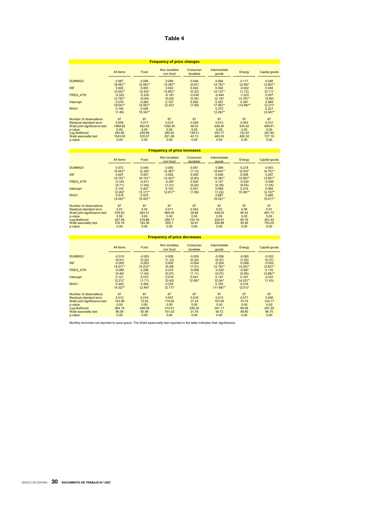| <b>Frequency of price changes</b>                       |                          |                       |                          |                      |                         |                          |                       |  |  |  |  |
|---------------------------------------------------------|--------------------------|-----------------------|--------------------------|----------------------|-------------------------|--------------------------|-----------------------|--|--|--|--|
|                                                         | All items                | Food                  | Non durables<br>non food | Consumer<br>durables | Intermediate<br>goods   | Energy                   | Capital goods         |  |  |  |  |
| <b>DUM95Q1</b>                                          | 0.067<br>$(6.46)$ **     | 0.045<br>$'(2.68)$ ** | 0.069<br>$'(5.28)$ **    | 0.046<br>'(0.87)     | 0.064<br>$'(4.78)$ **   | 0.117<br>$'(2.06)^*$     | 0.048<br>$'(3.90)$ ** |  |  |  |  |
| <b>INF</b>                                              | 0.002<br>$'(3.54)$ **    | 0.003<br>$'(2.43)^*$  | 0.002<br>$'(3.68)$ **    | 0.002<br>'(0.23)     | 0.002<br>$'(4.12)$ **   | $-0.002$<br>'(1.72)      | 0.004<br>$'(2.11)^*$  |  |  |  |  |
| <b>FREQ ATR</b>                                         | $-0.322$<br>$'(2.76)$ ** | $-0.232$<br>'(0.84)   | $-0.181$<br>'(0.83)      | $-0.034$<br>'(0.24)  | $-0.444$<br>$'(2.19)^*$ | $-1.223$<br>$'(3.16)$ ** | 0.057<br>'(0.89)      |  |  |  |  |
| Intercept                                               | 0.276<br>$'(9.04)$ **    | 0.265<br>$'(4.56)$ ** | 0.157<br>$'(2.42)^*$     | 0.092<br>'(1.69)     | 0.357<br>$'(7.95)$ **   | 0.397<br>$'(14.98)$ **   | 0.069<br>$'(2.21)^*$  |  |  |  |  |
| RHO <sub>1</sub>                                        | 0.164<br>'(1.49)         | 0.525<br>$'(5.34)$ ** |                          |                      | 0.373<br>$'(3.29)$ **   |                          | 0.321<br>$'(3.04)$ ** |  |  |  |  |
| Number of observations                                  | 87                       | 87                    | 87                       | 87                   | 87                      | 87                       | 87                    |  |  |  |  |
| Residual standard error<br>Wald joint significance test | 0.009<br>1969.62         | 0.017<br>452.05       | 0.012<br>1050.40         | 0.049<br>48.53       | 0.013<br>638.40         | 0.053<br>534.02          | 0.012<br>899.61       |  |  |  |  |
| p-value                                                 | 0.00                     | 0.00                  | 0.00                     | 0.00                 | 0.00                    | 0.00                     | 0.00                  |  |  |  |  |
| Log likelihood                                          | 283.60                   | 229.99                | 260.62                   | 139.51               | 253.77                  | 132.52                   | 261.80                |  |  |  |  |
| <b>Wald sesonality test</b>                             | 1543.93                  | 335.07                | 831.06                   | 43.13                | 462.45                  | 400.32                   | 727.19                |  |  |  |  |
| p-value                                                 | 0.00                     | 0.00                  | 0.00                     | 0.00                 | 0.00                    | 0.00                     | 0.00                  |  |  |  |  |

#### **Frequency of price increases**

| All items    | Food                                           | Non durables<br>non food                                 | Consumer<br>durables                              | Intermediate<br>goods                  | Energy                                               | Capital goods                        |
|--------------|------------------------------------------------|----------------------------------------------------------|---------------------------------------------------|----------------------------------------|------------------------------------------------------|--------------------------------------|
| 0.072        | 0.044                                          | 0.063                                                    | 0.051                                             | 0.068                                  | 0.218                                                | 0.043                                |
|              |                                                |                                                          |                                                   |                                        |                                                      | $'(4.75)$ **                         |
| 0.007        | 0.007                                          | 0.002                                                    | 0.005                                             | 0.006                                  | 0.006                                                | 0.007                                |
| $'(5.75)$ ** | $'(4.15)$ **                                   | $'(4.34)$ **                                             | '(0.93)                                           | $'(5.38)$ **                           | $'(2.80)$ **                                         | $'(3.85)$ **                         |
| $-0.163$     | $-0.511$                                       | $-0.297$                                                 | 0.024                                             | 0.127                                  | $-0.324$                                             | $-0.065$                             |
| '(0.71)      |                                                |                                                          |                                                   |                                        | '(0.55)                                              | '(1.05)                              |
| 0.135        | 0.207                                          | 0.153                                                    | 0.051                                             | 0.089                                  | 0.216                                                | 0.094                                |
|              |                                                |                                                          |                                                   |                                        |                                                      | $'(3.10)^{**}$                       |
|              |                                                |                                                          |                                                   |                                        |                                                      | 0.493                                |
| $'(4.06)$ ** | $'(5.44)**$                                    |                                                          |                                                   | $'(8.52)$ **                           |                                                      | $'(5.01)$ **                         |
| 87           | 87                                             | 87                                                       | 87                                                | 87                                     | 87                                                   | 87                                   |
| 0.01         | 0.02                                           | 0.011                                                    | 0.042                                             | 0.02                                   | 0.08                                                 | 0.01                                 |
| 578.83       | 283.37                                         | 865.00                                                   | 39.86                                             | 438.03                                 | 85.42                                                | 891.73                               |
| 0.00         | 0.00                                           | 0.00                                                     | 0.00                                              | 0.00                                   | 0.00                                                 | 0.00                                 |
|              |                                                |                                                          |                                                   |                                        |                                                      | 261.42                               |
| 376.76       | 193.36                                         | 650.1                                                    | 32.91                                             | 229.88                                 | 50.95                                                | 793.05                               |
| 0.00         | 0.00                                           | 0.00                                                     | 0.00                                              | 0.00                                   | 0.00                                                 | 0.00                                 |
|              | $'(5.04)$ **<br>$'(2.26)^*$<br>0.418<br>247.49 | $'(2.36)^*$<br>(1.64)<br>$'(3.17)$ **<br>0.533<br>219.86 | $'(5.38)$ **<br>'(1.51)<br>$'(2.61)$ **<br>269.17 | (1.13)<br>'(0.20)<br>'(1.09)<br>153.19 | $'(4.64)$ **<br>'(0.39)<br>(1.22)<br>0.687<br>233.81 | $'(2.50)^*$<br>$'(5.36)$ **<br>95.79 |

### **Frequency of price decreases**

|                              | All items    | Food         | Non durables<br>non food | Consumer<br>durables | <b>Intermediate</b><br>goods | Energy       | Capital goods |
|------------------------------|--------------|--------------|--------------------------|----------------------|------------------------------|--------------|---------------|
| <b>DUM95Q1</b>               | $-0.010$     | $-0.003$     | 0.008                    | $-0.005$             | $-0.006$                     | $-0.085$     | $-0.003$      |
|                              | '(0.91)      | '(0.20)      | '(1.12)                  | '(0.24)              | '(0.47)                      | '(1.05)      | '(0.37)       |
| <b>INF</b>                   | $-0.005$     | $-0.003$     | 0.000                    | $-0.004$             | $-0.004$                     | $-0.008$     | $-0.003$      |
|                              | $'(4.67)$ ** | $'(4.23)$ ** | (0.48)                   | (1.51)               | $'(2.76)$ **                 | $'(3.35)$ ** | $'(3.62)$ **  |
| <b>FREQ ATR</b>              | $-0.085$     | 0.208        | 0.074                    | $-0.058$             | $-0.022$                     | $-0.587$     | 0.116         |
|                              | '(0.40)      | '(1.04)      | '(0.57)                  | (1.11)               | '(0.07)                      | '(0.95)      | $'(3.88)$ **  |
| Intercept                    | 0.121        | 0.072        | 0.016                    | 0.041                | 0.147                        | 0.167        | $-0.021$      |
|                              | $'(2.21)^*$  | (1.71)       | '(0.42)                  | $'(2.06)^*$          | $'(2.04)^*$                  | $'(4.03)$ ** | '(1.43)       |
| RHO <sub>1</sub>             | 0.459        | 0.264        | 0.235                    |                      | 0.783                        | 0.218        |               |
|                              | $'(4.32)$ ** | $'(2.49)^*$  | $'(2.17)^*$              |                      | $'(11.68)$ **                | $'(2.01)^*$  |               |
| Number of observations       | 87           | 87           | 87                       | 87                   | 87                           | 87           | 87            |
| Residual standard error      | 0.012        | 0.014        | 0.007                    | 0.018                | 0.015                        | 0.077        | 0.008         |
| Wald joint significance test | 143.08       | 72.63        | 119.92                   | 37.24                | 197.65                       | 74.76        | 124.17        |
| p-value                      | 0.00         | 0.00         | 0.00                     | 0.00                 | 0.00                         | 0.00         | 0.00          |
| Log likelihood               | 264.19       | 248.58       | 314.51                   | 226.30               | 241.17                       | 99.08        | 297.25        |
| Wald sesonality test         | 86.06        | 50.06        | 101.03                   | 31.76                | 39.72                        | 49.60        | 96.75         |
| p-value                      | 0.00         | 0.00         | 0.00                     | 0.00                 | 0.00                         | 0.00         | 0.00          |

Monthly dummies not reported to save space. The Wald seasonality test reported in the table indicates their significance.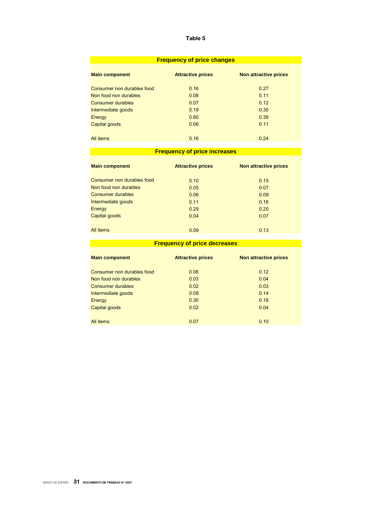| <b>Frequency of price changes</b> |                          |                              |  |  |  |  |  |  |  |
|-----------------------------------|--------------------------|------------------------------|--|--|--|--|--|--|--|
| <b>Main component</b>             | <b>Attractive prices</b> | <b>Non attractive prices</b> |  |  |  |  |  |  |  |
| Consumer non durables food        | 0.16                     | 0.27                         |  |  |  |  |  |  |  |
| Non food non durables             | 0.08                     | 0.11                         |  |  |  |  |  |  |  |
| Consumer durables                 | 0.07                     | 0.12                         |  |  |  |  |  |  |  |
| Intermediate goods                | 0.19                     | 0.30                         |  |  |  |  |  |  |  |
| Energy                            | 0.60                     | 0.39                         |  |  |  |  |  |  |  |
| Capital goods                     | 0.06                     | 0.11                         |  |  |  |  |  |  |  |
| All <i>items</i>                  | 0.16                     | 0.24                         |  |  |  |  |  |  |  |

# **Frequency of price increases**

| <b>Main component</b>      | <b>Attractive prices</b> | <b>Non attractive prices</b> |
|----------------------------|--------------------------|------------------------------|
| Consumer non durables food | 0.10                     | 0.15                         |
| Non food non durables      | 0.05                     | 0.07                         |
| Consumer durables          | 0.06                     | 0.09                         |
| Intermediate goods         | 0.11                     | 0.16                         |
| Energy                     | 0.29                     | 0.20                         |
| Capital goods              | 0.04                     | 0.07                         |
| All items                  | 0.09                     | 0.13                         |

### **Frequency of price decreases**

| <b>Main component</b>      | <b>Attractive prices</b> | Non attractive prices |
|----------------------------|--------------------------|-----------------------|
| Consumer non durables food | 0.06                     | 0.12                  |
| Non food non durables      | 0.03                     | 0.04                  |
| <b>Consumer durables</b>   | 0.02                     | 0.03                  |
| Intermediate goods         | 0.08                     | 0.14                  |
| Energy                     | 0.30                     | 0.19                  |
| Capital goods              | 0.02                     | 0.04                  |
| All items                  | 0.07                     | 0.10                  |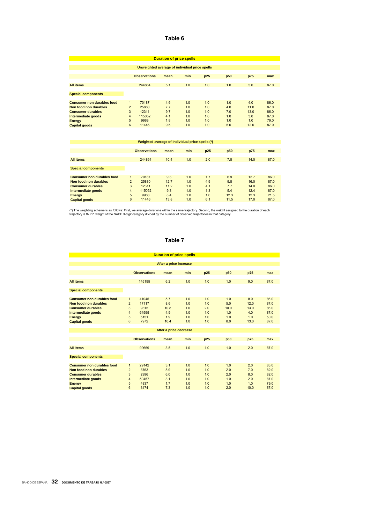| <b>Duration of price spells</b>                                                                                                                       |                                                                 |                                                    |                                        |                                        |                                        |                                        |                                           |                                              |  |  |  |
|-------------------------------------------------------------------------------------------------------------------------------------------------------|-----------------------------------------------------------------|----------------------------------------------------|----------------------------------------|----------------------------------------|----------------------------------------|----------------------------------------|-------------------------------------------|----------------------------------------------|--|--|--|
| Unweighted average of individual price spells                                                                                                         |                                                                 |                                                    |                                        |                                        |                                        |                                        |                                           |                                              |  |  |  |
|                                                                                                                                                       |                                                                 | <b>Observations</b>                                | mean                                   | min                                    | p25                                    | p <sub>50</sub>                        | p75                                       | max                                          |  |  |  |
| <b>All items</b>                                                                                                                                      |                                                                 | 244864                                             | 5.1                                    | 1.0                                    | 1.0                                    | 1.0                                    | 5.0                                       | 87.0                                         |  |  |  |
| <b>Special components</b>                                                                                                                             |                                                                 |                                                    |                                        |                                        |                                        |                                        |                                           |                                              |  |  |  |
| <b>Consumer non durables food</b><br>Non food non durables<br><b>Consumer durables</b><br>Intermediate goods<br><b>Energy</b><br><b>Capital goods</b> | $\mathbf{1}$<br>$\overline{2}$<br>3<br>$\overline{4}$<br>5<br>6 | 70187<br>25880<br>12311<br>115052<br>9988<br>11446 | 4.6<br>7.7<br>9.7<br>4.1<br>1.8<br>9.5 | 1.0<br>1.0<br>1.0<br>1.0<br>1.0<br>1.0 | 1.0<br>1.0<br>1.0<br>1.0<br>1.0<br>1.0 | 1.0<br>4.0<br>7.0<br>1.0<br>1.0<br>5.0 | 4.0<br>11.0<br>13.0<br>3.0<br>1.0<br>12.0 | 86.0<br>87.0<br>86.0<br>87.0<br>79.0<br>87.0 |  |  |  |

| Weighted average of individual price spells (*) |                         |                     |      |     |     |      |      |      |  |  |
|-------------------------------------------------|-------------------------|---------------------|------|-----|-----|------|------|------|--|--|
|                                                 |                         |                     |      |     |     |      |      |      |  |  |
|                                                 |                         | <b>Observations</b> | mean | min | p25 | p50  | p75  | max  |  |  |
|                                                 |                         |                     |      |     |     |      |      |      |  |  |
| <b>All items</b>                                |                         | 244864              | 10.4 | 1.0 | 2.0 | 7.8  | 14.0 | 87.0 |  |  |
|                                                 |                         |                     |      |     |     |      |      |      |  |  |
| <b>Special components</b>                       |                         |                     |      |     |     |      |      |      |  |  |
|                                                 |                         |                     |      |     |     |      |      |      |  |  |
| <b>Consumer non durables food</b>               |                         | 70187               | 9.3  | 1.0 | 1.7 | 6.9  | 12.7 | 86.0 |  |  |
| Non food non durables                           | $\overline{2}$          | 25880               | 12.7 | 1.0 | 4.9 | 9.8  | 16.0 | 87.0 |  |  |
| <b>Consumer durables</b>                        | 3                       | 12311               | 11.2 | 1.0 | 4.1 | 7.7  | 14.0 | 86.0 |  |  |
| Intermediate goods                              | $\overline{\mathbf{4}}$ | 115052              | 9.3  | 1.0 | 1.3 | 5.4  | 12.4 | 87.0 |  |  |
| Energy                                          | 5                       | 9988                | 8.4  | 1.0 | 1.0 | 12.3 | 12.3 | 21.5 |  |  |
| <b>Capital goods</b>                            | 6                       | 11446               | 13.8 | 1.0 | 6.1 | 11.5 | 17.0 | 87.0 |  |  |
|                                                 |                         |                     |      |     |     |      |      |      |  |  |

(\*) The weighting scheme is as follows: First, we average durations within the same trajectory. Second, the weight assigned to the duration of each<br>trajectory is th PPI weight of the NACE 3-digit category divided by the nu

### Table 7

| <b>Duration of price spells</b>     |                     |                     |                        |     |     |      |      |      |  |  |  |  |  |  |
|-------------------------------------|---------------------|---------------------|------------------------|-----|-----|------|------|------|--|--|--|--|--|--|
| After a price increase              |                     |                     |                        |     |     |      |      |      |  |  |  |  |  |  |
|                                     |                     |                     |                        |     |     |      |      |      |  |  |  |  |  |  |
|                                     |                     | <b>Observations</b> | mean                   | min | p25 | p50  | p75  | max  |  |  |  |  |  |  |
|                                     |                     |                     |                        |     |     |      |      |      |  |  |  |  |  |  |
| <b>All items</b>                    |                     | 145195              | 6.2                    | 1.0 | 1.0 | 1.0  | 9.0  | 87.0 |  |  |  |  |  |  |
|                                     |                     |                     |                        |     |     |      |      |      |  |  |  |  |  |  |
| <b>Special components</b>           |                     |                     |                        |     |     |      |      |      |  |  |  |  |  |  |
|                                     |                     |                     |                        |     |     |      |      |      |  |  |  |  |  |  |
| <b>Consumer non durables food</b>   | $\mathbf{1}$        | 41045               | 5.7                    | 1.0 | 1.0 | 1.0  | 8.0  | 86.0 |  |  |  |  |  |  |
| Non food non durables               | $\overline{2}$      | 17117               | 8.6                    | 1.0 | 1.0 | 5.0  | 12.0 | 87.0 |  |  |  |  |  |  |
| <b>Consumer durables</b>            | 3                   | 9315                | 10.8                   | 1.0 | 2.0 | 10.0 | 13.0 | 86.0 |  |  |  |  |  |  |
| Intermediate goods                  | $\overline{4}$      | 64595               | 4.9                    | 1.0 | 1.0 | 1.0  | 4.0  | 87.0 |  |  |  |  |  |  |
| <b>Energy</b>                       | 5                   | 5151                | 1.9                    | 1.0 | 1.0 | 1.0  | 1.0  | 50.0 |  |  |  |  |  |  |
| <b>Capital goods</b>                | 6                   | 7972                | 10.4                   | 1.0 | 1.0 | 8.0  | 13.0 | 87.0 |  |  |  |  |  |  |
|                                     |                     |                     | After a price decrease |     |     |      |      |      |  |  |  |  |  |  |
|                                     |                     |                     |                        |     |     |      |      |      |  |  |  |  |  |  |
|                                     |                     | <b>Observations</b> | mean                   | min | p25 | p50  | p75  | max  |  |  |  |  |  |  |
|                                     |                     |                     |                        |     |     |      |      |      |  |  |  |  |  |  |
| <b>All items</b>                    |                     | 99669               | 3.5                    | 1.0 | 1.0 | 1.0  | 2.0  | 87.0 |  |  |  |  |  |  |
|                                     |                     |                     |                        |     |     |      |      |      |  |  |  |  |  |  |
| <b>Special components</b>           |                     |                     |                        |     |     |      |      |      |  |  |  |  |  |  |
| <b>Consumer non durables food</b>   |                     | 29142               | 3.1                    | 1.0 | 1.0 | 1.0  | 2.0  | 85.0 |  |  |  |  |  |  |
| Non food non durables               | 1<br>$\overline{2}$ | 8763                | 5.9                    | 1.0 | 1.0 | 2.0  | 7.0  | 82.0 |  |  |  |  |  |  |
| <b>Consumer durables</b>            | 3                   | 2996                | 6.0                    | 1.0 | 1.0 | 2.0  | 8.0  | 82.0 |  |  |  |  |  |  |
|                                     | $\overline{4}$      | 50457               | 3.1                    | 1.0 | 1.0 | 1.0  | 2.0  | 87.0 |  |  |  |  |  |  |
| Intermediate goods<br><b>Energy</b> | 5                   | 4837                | 1.7                    | 1.0 | 1.0 | 1.0  | 1.0  | 79.0 |  |  |  |  |  |  |
| <b>Capital goods</b>                | 6                   | 3474                | 7.3                    | 1.0 | 1.0 | 2.0  | 10.0 | 87.0 |  |  |  |  |  |  |
|                                     |                     |                     |                        |     |     |      |      |      |  |  |  |  |  |  |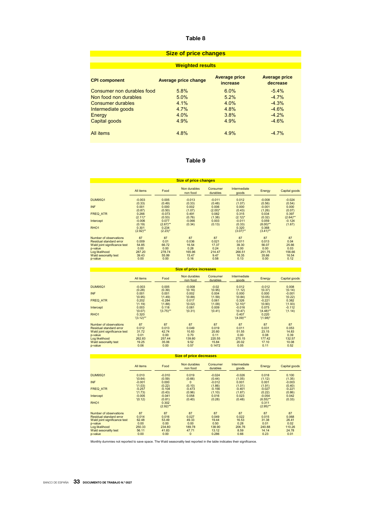| <b>Size of price changes</b> |                             |                                         |                                  |  |  |  |
|------------------------------|-----------------------------|-----------------------------------------|----------------------------------|--|--|--|
|                              |                             |                                         |                                  |  |  |  |
|                              | <b>Weighted results</b>     |                                         |                                  |  |  |  |
| <b>CPI component</b>         | <b>Average price change</b> | <b>Average price</b><br><i>increase</i> | <b>Average price</b><br>decrease |  |  |  |
| Consumer non durables food   | 5.8%                        | $6.0\%$                                 | $-5.4%$                          |  |  |  |
| Non food non durables        | 5.0%                        | 5.2%                                    | $-4.7%$                          |  |  |  |
| Consumer durables            | 4.1%                        | 4.0%                                    | $-4.3%$                          |  |  |  |
| Intermediate goods           | 4.7%                        | 4.8%                                    | $-4.6%$                          |  |  |  |
| Energy                       | 4.0%                        | 3.8%                                    | $-4.2%$                          |  |  |  |
| Capital goods                | 4.9%                        | 4.9%                                    | $-4.6%$                          |  |  |  |
| All items                    | 4.8%                        | 4.9%                                    | $-4.7%$                          |  |  |  |

### Table 9

| <b>Size of price changes</b>  |                             |                               |                          |                      |                              |                               |                    |
|-------------------------------|-----------------------------|-------------------------------|--------------------------|----------------------|------------------------------|-------------------------------|--------------------|
|                               | All items                   | Food                          | Non durables<br>non food | Consumer<br>durables | <b>Intermediate</b><br>goods | Energy                        | Capital goods      |
| <b>DUM95Q1</b>                | $-0.003$                    | 0.005                         | $-0.013$                 | $-0.011$             | 0.012                        | $-0.008$                      | $-0.024$           |
|                               | (0.33)                      | (0.49)                        | (0.33)                   | (0.48)               | (1.07)                       | (0.56)                        | (0.54)             |
| <b>INF</b>                    | 0.001                       | 0.000                         | 0.002                    | 0.006                | 0.000                        | $-0.001$                      | 0.000              |
|                               | (0.87)                      | (0.50)                        | (1.07)                   | $(2.00)^*$           | (0.43)                       | (1.26)                        | (0.07)             |
| <b>FREQ ATR</b>               | 0.266                       | $-0.073$                      | 0.491                    | 0.082                | 0.315                        | 0.034                         | 0.397              |
|                               | $(2.11)^*$                  | (0.53)                        | (0.76)                   | (1.38)               | $(2.12)^*$                   | (0.32)                        | $(2.64)$ **        |
| Intercept<br>RHO <sub>1</sub> | $-0.006$<br>(0.19)<br>0.301 | 0.077<br>$(2.67)$ **<br>0.234 | $-0.066$<br>(0.34)       | 0.003<br>(0.13)      | $-0.011$<br>(0.33)<br>0.320  | 0.059<br>$(8.00)$ **<br>0.368 | $-0.124$<br>(1.67) |
|                               | $(2.92)$ **                 | $(2.23)^*$                    |                          |                      | $(3.07)$ **                  | $(3.41)$ **                   |                    |
| Number of observations        | 87                          | 87                            | 87                       | 87                   | 87                           | 87                            | 87                 |
| Residual standard error       | 0.009                       | 0.01                          | 0.036                    | 0.021                | 0.011                        | 0.013                         | 0.04               |
| Wald joint significance test  | 54.85                       | 66.72                         | 16.54                    | 17.37                | 39.30                        | 56.07                         | 25.66              |
| p-value                       | 0.00                        | 0.00                          | 0.28                     | 0.24                 | 0.00                         | 0.00                          | 0.03               |
| Log likelihood                | 287.20                      | 278.74                        | 165.96                   | 214.47               | 266.51                       | 251.75                        | 156.66             |
| Wald sesonality test          | 39.43                       | 55.99                         | 15.47                    | 9.47                 | 16.35                        | 35.66                         | 16.54              |
| p-value                       | 0.00                        | 0.00                          | 0.16                     | 0.58                 | 0.13                         | 0.00                          | 0.12               |

All items Food Non durables non food<br>-0.008<br>'(0.16)<br>0.002<br>'(0.88)<br>0.017<br>'(0.02)<br>0.081<br>'(0.31) Consumer durables<br>
-0.02<br>
'(0.95)<br>
0.004<br>
'(1.59)<br>
0.061<br>
'(1.09)<br>
0.009<br>
'(0.41) Intermediate Energy Capital goods<br>
-0.012 0.008<br>
(0.37) 0.008<br>
(0.05) 0.001<br>
-0.021 0.382<br>
(0.05) 0.382<br>
0.075 -0.112<br>
(4.48)<br>
(1.93) (1.14) DUM95Q1 -0.003 0.005 -0.008 -0.02 0.012 -0.012 0.008 (0.28) (0.39) '(0.16) '(0.95) '(1.12) '(0.37) '(0.14) INF 0.001 0.001 0.002 0.004 0.000 0.000 -0.001 '(0.95) '(1.49) '(0.88) '(1.59) '(0.84) '(0.05) '(0.22) FREQ\_ATR 0.202 -0.284 0.017 0.061 0.326 -0.221 0.382 '(1.19) '(1.88) '(0.02) '(1.09) '(2.10)\* '(0.90) '(1.93) Intercept 0.003 0.118 0.081 0.009 -0.016 0.075 -0.112  $'(0.07)$   $'(3.75)$ \*\*  $'(0.31)$   $'(0.41)$   $'(0.47)$   $'(4.48)$ \*\*  $'(1.14)$ RHO1 0.320 0.407 0.220 '(3.12)\*\* '(4.09)\*\* '(1.98)\* Number of observations<br>
Residual standard error at 0.012 0.013 0.049 0.019 0.011 0.031 0.053<br>
Wald joint significance test 31.72 42.74 10.83 20.80 51.55 23.15 14.83<br>
1-yalue 0.01 0.01 0.00 0.70 0.70 0.15 0.08 0.8 15.5<br>
Log **Size of price increases**

|                               | <b>Size of price decreases</b> |             |                          |                      |                       |             |               |
|-------------------------------|--------------------------------|-------------|--------------------------|----------------------|-----------------------|-------------|---------------|
|                               | All items                      | Food        | Non durables<br>non food | Consumer<br>durables | Intermediate<br>goods | Energy      | Capital goods |
| <b>DUM95Q1</b>                | 0.010                          | $-0.010$    | 0.019                    | $-0.024$             | $-0.026$              | 0.018       | 0.100         |
|                               | '(0.64)                        | (0.59)      | (0.66)                   | (0.44)               | (1.05)                | (1.12)      | (1.35)        |
| <b>INF</b>                    | $-0.001$                       | 0.000       | 0                        | $-0.012$             | 0.001                 | 0.001       | $-0.003$      |
|                               | '(1.03)                        | (0.22)      | (0.10)                   | (1.86)               | (1.01)                | (1.91)      | (0.40)        |
| <b>FREQ ATR</b>               | $-0.257$                       | $-0.104$    | $-0.473$                 | $-0.156$             | $-0.401$              | $-0.027$    | $-0.221$      |
|                               | '(1.73)                        | (0.43)      | (0.96)                   | (1.10)               | (1.87)                | (0.22)      | (0.86)        |
| Intercept                     | $-0.005$                       | $-0.041$    | 0.058                    | 0.016                | 0.023                 | $-0.054$    | 0.042         |
|                               | '(0.12)                        | (0.81)      | (0.40)                   | (0.28)               | (0.48)                | $(6.55)$ ** | (0.33)        |
| RHO <sub>1</sub>              |                                | 0.302       |                          |                      |                       | 0.311       |               |
|                               |                                | $(2.92)$ ** |                          |                      |                       | $(2.95)$ ** |               |
| <b>Number of observations</b> | 87                             | 87          | 87                       | 87                   | 87                    | 87          | 87            |
| Residual standard error       | 0.014                          | 0.016       | 0.027                    | 0.049                | 0.022                 | 0.015       | 0.068         |
| Wald joint significance test  | 62.48                          | 53.49       | 49.33                    | 19.44                | 16.53                 | 31.38       | 26.41         |
| p-value                       | 0.00                           | 0.00        | 0.00                     | 0.50                 | 0.28                  | 0.01        | 0.02          |
| Log likelihood                | 250.33                         | 234.80      | 189.78                   | 138.90               | 206.76                | 240.88      | 110.26        |
| <b>Wald sesonality test</b>   | 56.11                          | 41.83       | 47.71                    | 13.12                | 8.59                  | 14.14       | 24.78         |
| p-value                       | 0.00                           | 0.00        | $\mathbf{0}$             | 0.286                | 0.66                  | 0.23        | 0.01          |

Monthly dummies not reported to save space. The Wald seasonality test reported in the table indicates their significance.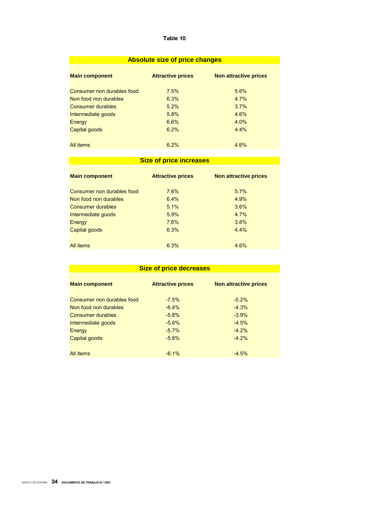|  |  | <b>Absolute size of price changes</b> |
|--|--|---------------------------------------|
|  |  |                                       |

| <b>Main component</b>      | <b>Attractive prices</b> | Non attractive prices |
|----------------------------|--------------------------|-----------------------|
| Consumer non durables food | 7.5%                     | 5.6%                  |
| Non food non durables      | 6.3%                     | 4.7%                  |
| <b>Consumer durables</b>   | 5.2%                     | 3.7%                  |
| Intermediate goods         | 5.8%                     | 4.6%                  |
| Energy                     | 6.6%                     | 4.0%                  |
| Capital goods              | 6.2%                     | 4.4%                  |
|                            |                          |                       |
| All items                  | 6.2%                     | 4.6%                  |

# **Size of price increases**

| <b>Main component</b>      | <b>Attractive prices</b> | <b>Non attractive prices</b> |
|----------------------------|--------------------------|------------------------------|
| Consumer non durables food | 7.6%                     | 5.7%                         |
| Non food non durables      | 6.4%                     | 4.9%                         |
| Consumer durables          | 5.1%                     | 3.6%                         |
| Intermediate goods         | 5.9%                     | 4.7%                         |
| Energy                     | 7.6%                     | 3.8%                         |
| Capital goods              | 6.3%                     | 4.4%                         |
| <b>All items</b>           | 6.3%                     | 4.6%                         |

| <b>Size of price decreases</b> |                          |                              |  |  |  |
|--------------------------------|--------------------------|------------------------------|--|--|--|
| <b>Main component</b>          | <b>Attractive prices</b> | <b>Non attractive prices</b> |  |  |  |
| Consumer non durables food     | $-7.5%$                  | $-5.2\%$                     |  |  |  |
| Non food non durables          | $-6.4%$                  | $-4.3%$                      |  |  |  |
| <b>Consumer durables</b>       | $-5.8%$                  | $-3.9%$                      |  |  |  |
| Intermediate goods             | $-5.6\%$                 | $-4.5%$                      |  |  |  |
| Energy                         | $-5.7%$                  | $-4.2%$                      |  |  |  |
| Capital goods                  | $-5.8%$                  | $-4.2%$                      |  |  |  |
|                                |                          |                              |  |  |  |
| All items                      | $-6.1%$                  | $-4.5%$                      |  |  |  |
|                                |                          |                              |  |  |  |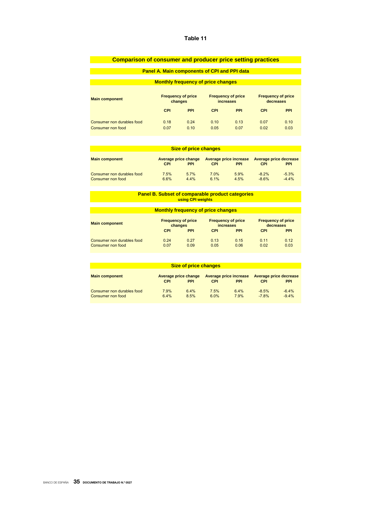| <b>Comparison of consumer and producer price setting practices</b> |                                      |                                                     |              |                                        |              |                                        |
|--------------------------------------------------------------------|--------------------------------------|-----------------------------------------------------|--------------|----------------------------------------|--------------|----------------------------------------|
|                                                                    |                                      | <b>Panel A. Main components of CPI and PPI data</b> |              |                                        |              |                                        |
|                                                                    |                                      |                                                     |              |                                        |              |                                        |
|                                                                    |                                      | <b>Monthly frequency of price changes</b>           |              |                                        |              |                                        |
| <b>Main component</b>                                              | <b>Frequency of price</b><br>changes |                                                     |              | <b>Frequency of price</b><br>increases |              | <b>Frequency of price</b><br>decreases |
|                                                                    | <b>CPI</b>                           | <b>PPI</b>                                          | <b>CPI</b>   | <b>PPI</b>                             | <b>CPI</b>   | <b>PPI</b>                             |
| Consumer non durables food<br>Consumer non food                    | 0.18<br>0.07                         | 0.24<br>0.10                                        | 0.10<br>0.05 | 0.13<br>0.07                           | 0.07<br>0.02 | 0.10<br>0.03                           |

| <b>Size of price changes</b>                    |              |                                    |              |                                      |                    |                                      |
|-------------------------------------------------|--------------|------------------------------------|--------------|--------------------------------------|--------------------|--------------------------------------|
| <b>Main component</b>                           | <b>CPI</b>   | Average price change<br><b>PPI</b> | CPI          | Average price increase<br><b>PPI</b> | <b>CPI</b>         | Average price decrease<br><b>PPI</b> |
| Consumer non durables food<br>Consumer non food | 7.5%<br>6.6% | 5.7%<br>4.4%                       | 7.0%<br>6.1% | 5.9%<br>4.5%                         | $-8.2%$<br>$-8.6%$ | $-5.3%$<br>$-4.4%$                   |

#### **Panel B. Subset of comparable product categories using CPI weights**

# **Monthly frequency of price changes**

| <b>Main component</b>      | <b>Frequency of price</b> |            | <b>Frequency of price</b> |            | <b>Frequency of price</b> |            |
|----------------------------|---------------------------|------------|---------------------------|------------|---------------------------|------------|
|                            | changes                   |            | <i>increases</i>          |            | decreases                 |            |
|                            | CPI                       | <b>PPI</b> | CPI                       | <b>PPI</b> | CPI                       | <b>PPI</b> |
| Consumer non durables food | 0.24                      | 0.27       | 0.13                      | 0.15       | 0.11                      | 0.12       |
| Consumer non food          | 0.07                      | 0.09       | 0.05                      | 0.06       | 0.02                      | 0.03       |

| <b>Size of price changes</b>                    |              |                                    |              |                                             |                    |                                      |
|-------------------------------------------------|--------------|------------------------------------|--------------|---------------------------------------------|--------------------|--------------------------------------|
| <b>Main component</b>                           | <b>CPI</b>   | Average price change<br><b>PPI</b> | <b>CPI</b>   | <b>Average price increase</b><br><b>PPI</b> | <b>CPI</b>         | Average price decrease<br><b>PPI</b> |
| Consumer non durables food<br>Consumer non food | 7.9%<br>6.4% | 6.4%<br>8.5%                       | 7.5%<br>6.0% | 6.4%<br>7.9%                                | $-8.5%$<br>$-7.8%$ | $-6.4%$<br>$-9.4%$                   |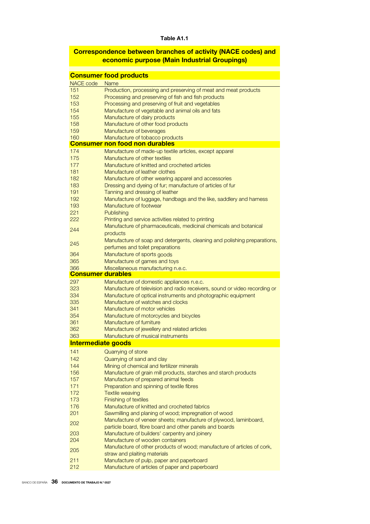### Table A1.1

# Correspondence between branches of activity (NACE codes) and economic purpose (Main Industrial Groupings)

|                           | <b>Consumer food products</b>                                                                            |
|---------------------------|----------------------------------------------------------------------------------------------------------|
| NACE code                 | <b>Name</b>                                                                                              |
| 151                       | Production, processing and preserving of meat and meat products                                          |
| 152                       | Processing and preserving of fish and fish products                                                      |
| 153                       | Processing and preserving of fruit and vegetables                                                        |
| 154                       | Manufacture of vegetable and animal oils and fats                                                        |
| 155                       | Manufacture of dairy products                                                                            |
| 158                       | Manufacture of other food products                                                                       |
| 159                       | Manufacture of beverages                                                                                 |
| 160                       | Manufacture of tobacco products<br><b>Consumer non food non durables</b>                                 |
| 174                       | Manufacture of made-up textile articles, except apparel                                                  |
| 175                       | Manufacture of other textiles                                                                            |
| 177                       | Manufacture of knitted and crocheted articles                                                            |
| 181                       | Manufacture of leather clothes                                                                           |
| 182                       | Manufacture of other wearing apparel and accessories                                                     |
| 183                       | Dressing and dyeing of fur; manufacture of articles of fur                                               |
| 191                       | Tanning and dressing of leather                                                                          |
| 192                       | Manufacture of luggage, handbags and the like, saddlery and harness                                      |
| 193                       | Manufacture of footwear                                                                                  |
| 221                       | Publishing                                                                                               |
| 222                       | Printing and service activities related to printing                                                      |
| 244                       | Manufacture of pharmaceuticals, medicinal chemicals and botanical                                        |
|                           | products                                                                                                 |
| 245                       | Manufacture of soap and detergents, cleaning and polishing preparations,                                 |
|                           | perfumes and toilet preparations                                                                         |
| 364                       | Manufacture of sports goods                                                                              |
| 365<br>366                | Manufacture of games and toys                                                                            |
| <b>Consumer durables</b>  | Miscellaneous manufacturing n.e.c.                                                                       |
| 297                       | Manufacture of domestic appliances n.e.c.                                                                |
| 323                       | Manufacture of television and radio receivers, sound or video recording or                               |
| 334                       | Manufacture of optical instruments and photographic equipment                                            |
| 335                       | Manufacture of watches and clocks                                                                        |
| 341                       | Manufacture of motor vehicles                                                                            |
| 354                       | Manufacture of motorcycles and bicycles                                                                  |
| 361                       | Manufacture of furniture                                                                                 |
| 362                       | Manufacture of jewellery and related articles                                                            |
| 363                       | Manufacture of musical instruments                                                                       |
| <b>Intermediate goods</b> |                                                                                                          |
| 141                       | Quarrying of stone                                                                                       |
| 142                       | Quarrying of sand and clay                                                                               |
| 144                       | Mining of chemical and fertilizer minerals                                                               |
| 156<br>157                | Manufacture of grain mill products, starches and starch products<br>Manufacture of prepared animal feeds |
| 171                       | Preparation and spinning of textile fibres                                                               |
| 172                       | <b>Textile weaving</b>                                                                                   |
| 173                       | Finishing of textiles                                                                                    |
| 176                       | Manufacture of knitted and crocheted fabrics                                                             |
| 201                       | Sawmilling and planing of wood; impregnation of wood                                                     |
| 202                       | Manufacture of veneer sheets; manufacture of plywood, laminboard,                                        |
|                           | particle board, fibre board and other panels and boards                                                  |
| 203                       | Manufacture of builders' carpentry and joinery                                                           |
| 204                       | Manufacture of wooden containers                                                                         |
| 205                       | Manufacture of other products of wood; manufacture of articles of cork,                                  |
|                           | straw and plaiting materials                                                                             |
| 211<br>212                | Manufacture of pulp, paper and paperboard<br>Manufacture of articles of paper and paperboard             |
|                           |                                                                                                          |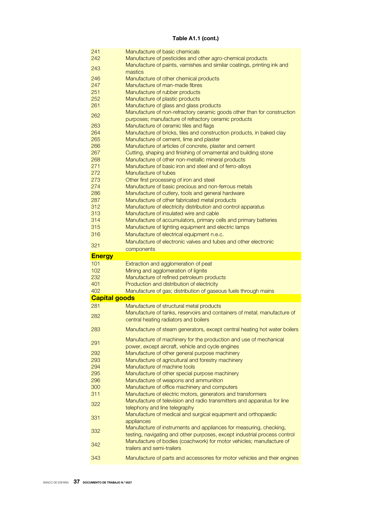### Table A1.1 (cont.)

| 241                  | Manufacture of basic chemicals                                                                     |
|----------------------|----------------------------------------------------------------------------------------------------|
| 242                  | Manufacture of pesticides and other agro-chemical products                                         |
|                      | Manufacture of paints, varnishes and similar coatings, printing ink and                            |
| 243                  | mastics                                                                                            |
| 246                  | Manufacture of other chemical products                                                             |
| 247                  | Manufacture of man-made fibres                                                                     |
| 251                  | Manufacture of rubber products                                                                     |
| 252                  | Manufacture of plastic products                                                                    |
| 261                  | Manufacture of glass and glass products                                                            |
| 262                  | Manufacture of non-refractory ceramic goods other than for construction                            |
|                      | purposes; manufacture of refractory ceramic products                                               |
| 263                  | Manufacture of ceramic tiles and flags                                                             |
| 264                  | Manufacture of bricks, tiles and construction products, in baked clay                              |
| 265                  | Manufacture of cement, lime and plaster                                                            |
| 266                  | Manufacture of articles of concrete, plaster and cement                                            |
| 267                  | Cutting, shaping and finishing of ornamental and building stone                                    |
| 268                  | Manufacture of other non-metallic mineral products                                                 |
| 271                  | Manufacture of basic iron and steel and of ferro-alloys                                            |
| 272                  | Manufacture of tubes                                                                               |
| 273                  | Other first processing of iron and steel                                                           |
| 274                  | Manufacture of basic precious and non-ferrous metals                                               |
| 286                  | Manufacture of cutlery, tools and general hardware                                                 |
| 287                  | Manufacture of other fabricated metal products                                                     |
| 312                  | Manufacture of electricity distribution and control apparatus                                      |
| 313                  | Manufacture of insulated wire and cable                                                            |
| 314                  | Manufacture of accumulators, primary cells and primary batteries                                   |
| 315                  | Manufacture of lighting equipment and electric lamps                                               |
| 316                  | Manufacture of electrical equipment n.e.c.                                                         |
|                      | Manufacture of electronic valves and tubes and other electronic                                    |
| 321                  | components                                                                                         |
|                      |                                                                                                    |
|                      |                                                                                                    |
| <b>Energy</b>        |                                                                                                    |
| 101                  | Extraction and agglomeration of peat                                                               |
| 102                  | Mining and agglomeration of lignite                                                                |
| 232                  | Manufacture of refined petroleum products                                                          |
| 401                  | Production and distribution of electricity                                                         |
| 402                  | Manufacture of gas; distribution of gaseous fuels through mains                                    |
| <b>Capital goods</b> |                                                                                                    |
| 281                  | Manufacture of structural metal products                                                           |
| 282                  | Manufacture of tanks, reservoirs and containers of metal; manufacture of                           |
|                      | central heating radiators and boilers                                                              |
| 283                  | Manufacture of steam generators, except central heating hot water boilers                          |
|                      |                                                                                                    |
| 291                  | Manufacture of machinery for the production and use of mechanical                                  |
|                      | power, except aircraft, vehicle and cycle engines                                                  |
| 292                  | Manufacture of other general purpose machinery                                                     |
| 293                  | Manufacture of agricultural and forestry machinery<br>Manufacture of machine tools                 |
| 294                  |                                                                                                    |
| 295                  | Manufacture of other special purpose machinery                                                     |
| 296<br>300           | Manufacture of weapons and ammunition                                                              |
|                      | Manufacture of office machinery and computers                                                      |
| 311                  | Manufacture of electric motors, generators and transformers                                        |
| 322                  | Manufacture of television and radio transmitters and apparatus for line                            |
|                      | telephony and line telegraphy                                                                      |
| 331                  | Manufacture of medical and surgical equipment and orthopaedic                                      |
|                      | appliances                                                                                         |
| 332                  | Manufacture of instruments and appliances for measuring, checking,                                 |
|                      | testing, navigating and other purposes, except industrial process control                          |
| 342                  | Manufacture of bodies (coachwork) for motor vehicles; manufacture of<br>trailers and semi-trailers |
| 343                  | Manufacture of parts and accessories for motor vehicles and their engines                          |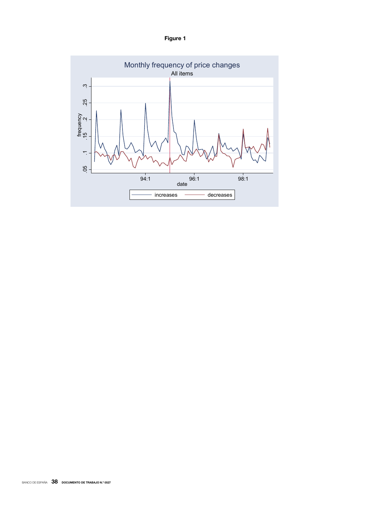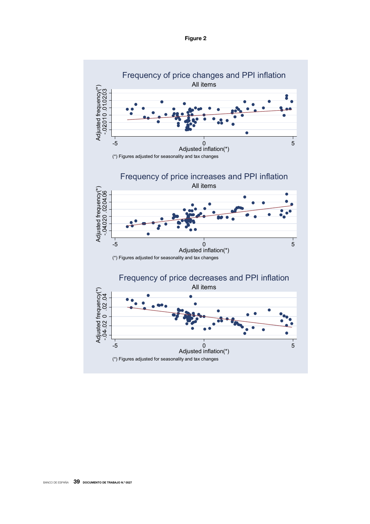

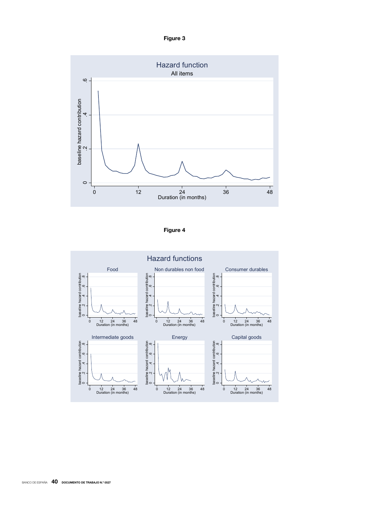Figure 3





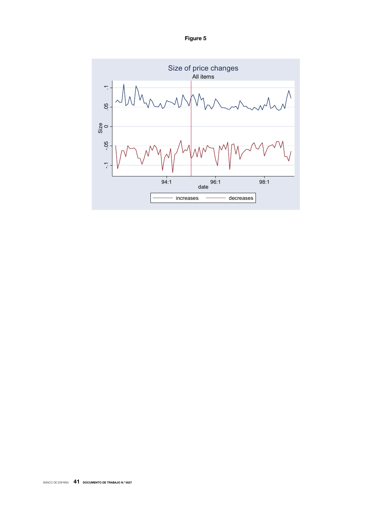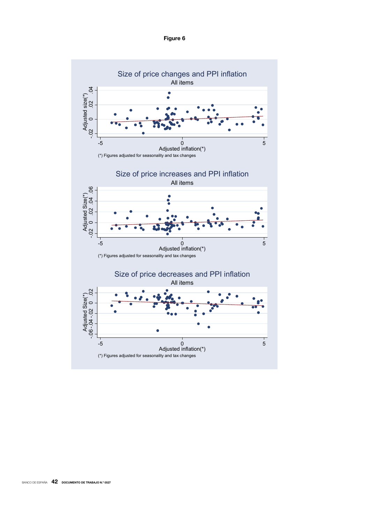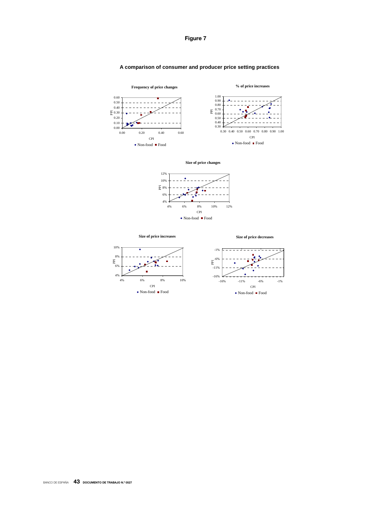

### **A comparison of consumer and producer price setting practices**





**Size of price increases**

**Size of price decreases**

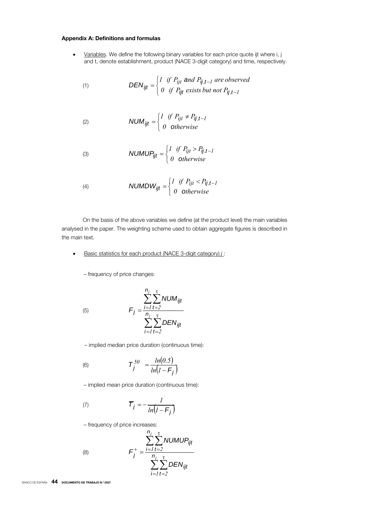### Appendix A: Definitions and formulas

• Variables. We define the following binary variables for each price quote ijt where i, j and t, denote establishment, product (NACE 3-digit category) and time, respectively.

(1) 
$$
DEN_{ijt} = \begin{cases} I & \text{if } P_{ijt} \text{ and } P_{ij,t-1} \text{ are observed} \\ 0 & \text{if } P_{ijt} \text{ exists but not } P_{ij,t-1} \end{cases}
$$

(2) 
$$
NUM_{ijt} = \begin{cases} I & \text{if } P_{ijt} \neq P_{ij,t-1} \\ 0 & \text{otherwise} \end{cases}
$$

(3) 
$$
NUMUP_{ijt} = \begin{cases} I & \text{if } P_{ijt} > P_{ij,t-1} \\ 0 & \text{otherwise} \end{cases}
$$

$$
(4) \quad \text{NUMDW}_{ijt} = \begin{cases} I & \text{if } P_{ijt} < P_{ij,t-1} \\ 0 & \text{otherwise} \end{cases}
$$

On the basis of the above variables we define (at the product level) the main variables analysed in the paper. The weighting scheme used to obtain aggregate figures is described in the main text.

• Basic statistics for each product (NACE 3-digit category) *j* :

– frequency of price changes:

(5)

$$
F_j = \frac{\sum_{i=1}^{n_j} \sum_{t=2}^{\tau} NUM_{ijt}}{\sum_{i=1}^{n_j} \sum_{t=2}^{\tau} DEN_{ijt}}
$$

– implied median price duration (continuous time):

(6) 
$$
T_j^{50} = \frac{ln(0.5)}{ln(1 - F_j)}
$$

– implied mean price duration (continuous time):

$$
\mathcal{T}_j = -\frac{1}{\ln(1 - \mathcal{F}_j)}
$$

– frequency of price increases:

$$
F_j^+ = \frac{\sum_{j=1}^{n_j} \sum_{t=2}^{\tau} NUMBER_{ijt}}{\sum_{i=1}^{n_j} \sum_{t=2}^{\tau} DEN_{ijt}}
$$

BANCO DE ESPAÑA 44 DOCUMENTO DE TRABAJO N.º 0527

(8)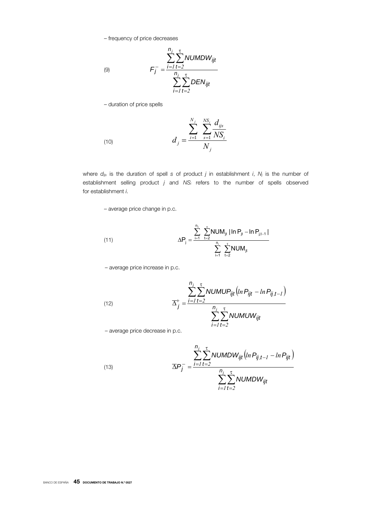– frequency of price decreases

$$
F_j^- = \frac{\sum_{i=1}^{n_j} \sum_{t=2}^{T} NUMDW_{ijt}}{\sum_{i=1}^{n_j} \sum_{t=2}^{T} DEN_{ijt}}
$$

– duration of price spells

(9)

(10) 
$$
d_{j} = \frac{\sum_{i=1}^{N_{j}} \sum_{s=1}^{NS_{i}} \frac{d_{ijs}}{NS_{i}}}{N_{j}}
$$

where *dijs* is the duration of spell *s* of product *j* in establishment *i*, *Nj* is the number of establishment selling product *j* and *NSi* refers to the number of spells observed for establishment *i*.

– average price change in p.c.

(11) 
$$
\Delta P_j = \frac{\sum_{i=1}^{n_j} \sum_{t=2}^{\tau} NUM_{jt} |In P_{jt} - In P_{j,t-1}|}{\sum_{i=1}^{n_i} \sum_{t=2}^{\tau} NUM_{jt}}
$$

– average price increase in p.c.

(12) 
$$
\overline{\Delta}_{j}^{+} = \frac{\sum_{i=1}^{n_{j}} \sum_{t=2}^{\tau} NUMUP_{ijt}(ln P_{ijt} - ln P_{ij,t-1})}{\sum_{i=1}^{n_{j}} \sum_{t=2}^{\tau} NUMUW_{ijt}}
$$

– average price decrease in p.c.

(13) 
$$
\overline{\Delta P_{j}} = \frac{\sum_{i=1}^{n_{j}} \sum_{t=2}^{\tau} NUMDW_{ijt} (ln P_{ij,t-1} - ln P_{ijt})}{\sum_{i=1}^{n_{j}} \sum_{t=2}^{\tau} NUMDW_{ijt}}
$$

BANCO DE ESPAÑA 45 DOCUMENTO DE TRABAJO N.º 0527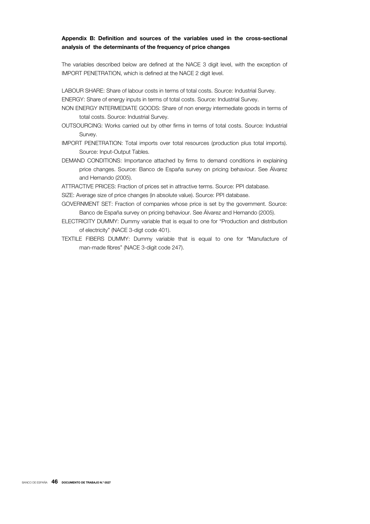### Appendix B: Definition and sources of the variables used in the cross-sectional analysis of the determinants of the frequency of price changes

The variables described below are defined at the NACE 3 digit level, with the exception of IMPORT PENETRATION, which is defined at the NACE 2 digit level.

LABOUR SHARE: Share of labour costs in terms of total costs. Source: Industrial Survey.

ENERGY: Share of energy inputs in terms of total costs. Source: Industrial Survey.

- NON ENERGY INTERMEDIATE GOODS: Share of non energy intermediate goods in terms of total costs. Source: Industrial Survey.
- OUTSOURCING: Works carried out by other firms in terms of total costs. Source: Industrial Survey.
- IMPORT PENETRATION: Total imports over total resources (production plus total imports). Source: Input-Output Tables.
- DEMAND CONDITIONS: Importance attached by firms to demand conditions in explaining price changes. Source: Banco de España survey on pricing behaviour. See Álvarez and Hernando (2005).
- ATTRACTIVE PRICES: Fraction of prices set in attractive terms. Source: PPI database.
- SIZE: Average size of price changes (in absolute value). Source: PPI database.
- GOVERNMENT SET: Fraction of companies whose price is set by the government. Source: Banco de España survey on pricing behaviour. See Álvarez and Hernando (2005).
- ELECTRICITY DUMMY: Dummy variable that is equal to one for "Production and distribution of electricity" (NACE 3-digt code 401).
- TEXTILE FIBERS DUMMY: Dummy variable that is equal to one for "Manufacture of man-made fibres" (NACE 3-digit code 247).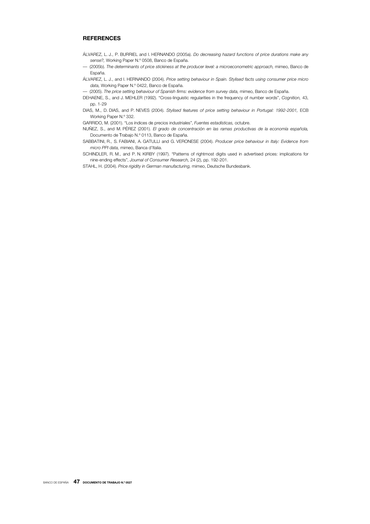### **REFERENCES**

- ÁLVAREZ, L. J., P. BURRIEL and I. HERNANDO (2005a). *Do decreasing hazard functions of price durations make any sense?,* Working Paper N.º 0508, Banco de España.
- –– (2005b). *The determinants of price stickiness at the producer level: a microeconometric approach,* mimeo, Banco de España.
- ÁLVAREZ, L. J., and I. HERNANDO (2004). *Price setting behaviour in Spain. Stylised facts using consumer price micro data,* Working Paper N.º 0422, Banco de España.
- –– (2005). *The price setting behaviour of Spanish firms: evidence from survey data,* mimeo, Banco de España.
- DEHAENE, S., and J. MEHLER (1992). "Cross-linguistic regularities in the frequency of number words", *Cognition,* 43, pp. 1-29
- DIAS, M., D. DIAS, and P. NEVES (2004). *Stylised features of price setting behaviour in Portugal: 1992-2001,* ECB Working Paper N.º 332.
- GARRIDO, M. (2001). "Los índices de precios industriales", *Fuentes estadísticas,* octubre.
- NUÑEZ, S., and M. PÉREZ (2001). *El grado de concentración en las ramas productivas de la economía española,* Documento de Trabajo N.º 0113, Banco de España.
- SABBATINI, R., S. FABIANI, A. GATULLI and G. VERONESE (2004). *Producer price behaviour in Italy: Evidence from micro PPI data,* mimeo, Banca d'Italia.
- SCHINDLER, R. M., and P. N. KIRBY (1997). "Patterns of rightmost digits used in advertised prices: implications for nine-ending effects", *Journal of Consumer Research,* 24 (2), pp. 192-201.
- STAHL, H. (2004). *Price rigidity in German manufacturing,* mimeo, Deutsche Bundesbank.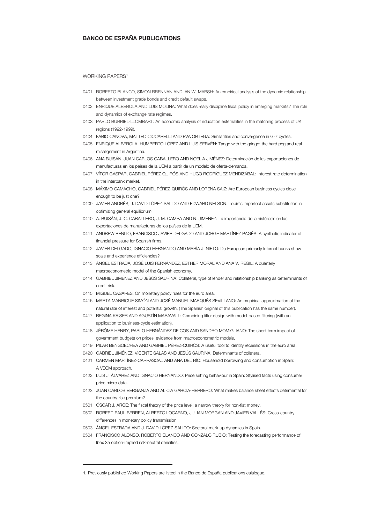### BANCO DE ESPAÑA PUBLICATIONS

#### WORKING PAPERS<sup>1</sup>

- 0401 ROBERTO BLANCO, SIMON BRENNAN AND IAN W. MARSH: An empirical analysis of the dynamic relationship between investment grade bonds and credit default swaps.
- 0402 ENRIQUE ALBEROLA AND LUIS MOLINA: What does really discipline fiscal policy in emerging markets? The role and dynamics of exchange rate regimes.
- 0403 PABLO BURRIEL-LLOMBART: An economic analysis of education externalities in the matching process of UK regions (1992-1999).
- 0404 FABIO CANOVA, MATTEO CICCARELLI AND EVA ORTEGA: Similarities and convergence in G-7 cycles.
- 0405 ENRIQUE ALBEROLA, HUMBERTO LÓPEZ AND LUIS SERVÉN: Tango with the gringo: the hard peg and real misalignment in Argentina.
- 0406 ANA BUISÁN, JUAN CARLOS CABALLERO AND NOELIA JIMÉNEZ: Determinación de las exportaciones de manufacturas en los países de la UEM a partir de un modelo de oferta-demanda.
- 0407 VÍTOR GASPAR, GABRIEL PÉREZ QUIRÓS AND HUGO RODRÍGUEZ MENDIZÁBAL: Interest rate determination in the interbank market.
- 0408 MÁXIMO CAMACHO, GABRIEL PÉREZ-QUIRÓS AND LORENA SAIZ: Are European business cycles close enough to be just one?
- 0409 JAVIER ANDRÉS, J. DAVID LÓPEZ-SALIDO AND EDWARD NELSON: Tobin's imperfect assets substitution in optimizing general equilibrium.
- 0410 A. BUISÁN, J. C. CABALLERO, J. M. CAMPA AND N. JIMÉNEZ: La importancia de la histéresis en las exportaciones de manufacturas de los países de la UEM.
- 0411 ANDREW BENITO, FRANCISCO JAVIER DELGADO AND JORGE MARTÍNEZ PAGÉS: A synthetic indicator of financial pressure for Spanish firms.
- 0412 JAVIER DELGADO, IGNACIO HERNANDO AND MARÍA J. NIETO: Do European primarily Internet banks show scale and experience efficiencies?
- 0413 ÁNGEL ESTRADA, JOSÉ LUIS FERNÁNDEZ, ESTHER MORAL AND ANA V. REGIL: A quarterly macroeconometric model of the Spanish economy.
- 0414 GABRIEL JIMÉNEZ AND JESÚS SAURINA: Collateral, type of lender and relationship banking as determinants of credit risk.
- 0415 MIGUEL CASARES: On monetary policy rules for the euro area.
- 0416 MARTA MANRIQUE SIMÓN AND JOSÉ MANUEL MARQUÉS SEVILLANO: An empirical approximation of the natural rate of interest and potential growth. (The Spanish original of this publication has the same number).
- 0417 REGINA KAISER AND AGUSTÍN MARAVALL: Combining filter design with model-based filtering (with an application to business-cycle estimation).
- 0418 JÉRÔME HENRY, PABLO HERNÁNDEZ DE COS AND SANDRO MOMIGLIANO: The short-term impact of government budgets on prices: evidence from macroeconometric models.
- 0419 PILAR BENGOECHEA AND GABRIEL PÉREZ-QUIRÓS: A useful tool to identify recessions in the euro area.
- 0420 GABRIEL JIMÉNEZ, VICENTE SALAS AND JESÚS SAURINA: Determinants of collateral.
- 0421 CARMEN MARTÍNEZ-CARRASCAL AND ANA DEL RÍO: Household borrowing and consumption in Spain: A VECM approach.
- 0422 LUIS J. ÁLVAREZ AND IGNACIO HERNANDO: Price setting behaviour in Spain: Stylised facts using consumer price micro data.
- 0423 JUAN CARLOS BERGANZA AND ALICIA GARCÍA-HERRERO: What makes balance sheet effects detrimental for the country risk premium?
- 0501 ÓSCAR J. ARCE: The fiscal theory of the price level: a narrow theory for non-fiat money.
- 0502 ROBERT-PAUL BERBEN, ALBERTO LOCARNO, JULIAN MORGAN AND JAVIER VALLÉS: Cross-country differences in monetary policy transmission.
- 0503 ÁNGEL ESTRADA AND J. DAVID LÓPEZ-SALIDO: Sectoral mark-up dynamics in Spain.
- 0504 FRANCISCO ALONSO, ROBERTO BLANCO AND GONZALO RUBIO: Testing the forecasting performance of Ibex 35 option-implied risk-neutral densities.

j

<sup>1.</sup> Previously published Working Papers are listed in the Banco de España publications calalogue.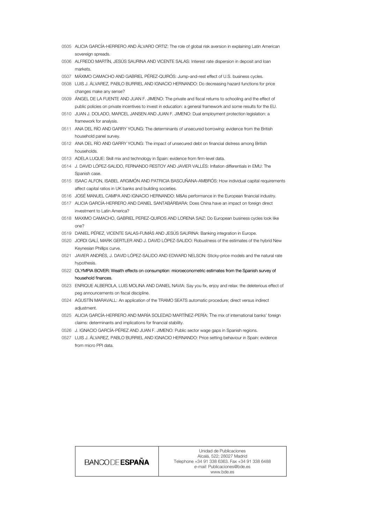- 0505 ALICIA GARCÍA-HERRERO AND ÁLVARO ORTIZ: The role of global risk aversion in explaining Latin American sovereign spreads.
- 0506 ALFREDO MARTÍN, JESÚS SAURINA AND VICENTE SALAS: Interest rate dispersion in deposit and loan markets.
- 0507 MÁXIMO CAMACHO AND GABRIEL PÉREZ-QUIRÓS: Jump-and-rest effect of U.S. business cycles.
- 0508 LUIS J. ÁLVAREZ, PABLO BURRIEL AND IGNACIO HERNANDO: Do decreasing hazard functions for price changes make any sense?
- 0509 ÁNGEL DE LA FUENTE AND JUAN F. JIMENO: The private and fiscal returns to schooling and the effect of public policies on private incentives to invest in education: a general framework and some results for the EU.
- 0510 JUAN J. DOLADO, MARCEL JANSEN AND JUAN F. JIMENO: Dual employment protection legislation: a framework for analysis.
- 0511 ANA DEL RÍO AND GARRY YOUNG: The determinants of unsecured borrowing: evidence from the British household panel survey.
- 0512 ANA DEL RÍO AND GARRY YOUNG: The impact of unsecured debt on financial distress among British households.
- 0513 ADELA LUQUE: Skill mix and technology in Spain: evidence from firm-level data.
- 0514 J. DAVID LÓPEZ-SALIDO, FERNANDO RESTOY AND JAVIER VALLÉS: Inflation differentials in EMU: The Spanish case.
- 0515 ISAAC ALFON, ISABEL ARGIMÓN AND PATRICIA BASCUÑANA-AMBRÓS: How individual capital requirements affect capital ratios in UK banks and building societies.
- 0516 JOSÉ MANUEL CAMPA AND IGNACIO HERNANDO: M&As performance in the European financial industry.
- 0517 ALICIA GARCÍA-HERRERO AND DANIEL SANTABÁRBARA: Does China have an impact on foreign direct investment to Latin America?
- 0518 MAXIMO CAMACHO, GABRIEL PEREZ-QUIROS AND LORENA SAIZ: Do European business cycles look like one?
- 0519 DANIEL PÉREZ, VICENTE SALAS-FUMÁS AND JESÚS SAURINA: Banking integration in Europe.
- 0520 JORDI GALÍ, MARK GERTLER AND J. DAVID LÓPEZ-SALIDO: Robustness of the estimates of the hybrid New Keynesian Phillips curve.
- 0521 JAVIER ANDRÉS, J. DAVID LÓPEZ-SALIDO AND EDWARD NELSON: Sticky-price models and the natural rate hypothesis.
- 0522 OLYMPIA BOVER: Wealth effects on consumption: microeconometric estimates from the Spanish survey of household finances.
- 0523 ENRIQUE ALBEROLA, LUIS MOLINA AND DANIEL NAVIA: Say you fix, enjoy and relax: the deleterious effect of peg announcements on fiscal discipline.
- 0524 AGUSTÍN MARAVALL: An application of the TRAMO SEATS automatic procedure; direct versus indirect adjustment.
- 0525 ALICIA GARCÍA-HERRERO AND MARÍA SOLEDAD MARTÍNEZ-PERÍA: The mix of international banks' foreign claims: determinants and implications for financial stability.
- 0526 J. IGNACIO GARCÍA-PÉREZ AND JUAN F. JIMENO: Public sector wage gaps in Spanish regions.
- 0527 LUIS J. ÁLVAREZ, PABLO BURRIEL AND IGNACIO HERNANDO: Price setting behaviour in Spain: evidence from micro PPI data.

| BANCODE <b>ESPANA</b> |
|-----------------------|
|                       |

Unidad de Publicaciones Alcalá, 522; 28027 Madrid Telephone +34 91 338 6363. Fax +34 91 338 6488 *e-mail:* Publicaciones@bde.es www.bde.es